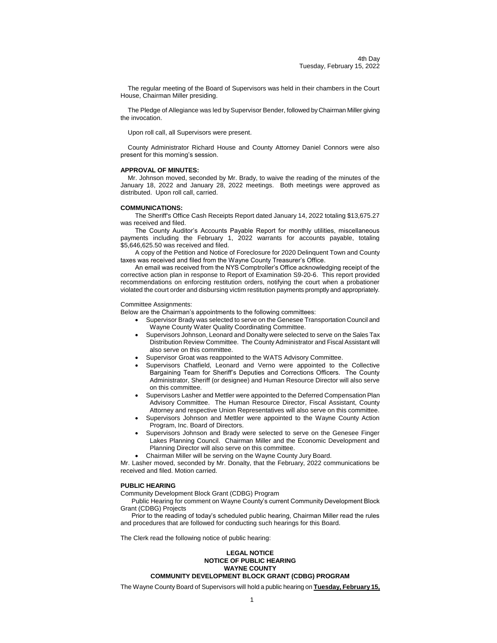The regular meeting of the Board of Supervisors was held in their chambers in the Court House, Chairman Miller presiding.

The Pledge of Allegiance was led by Supervisor Bender, followed by Chairman Miller giving the invocation.

Upon roll call, all Supervisors were present.

County Administrator Richard House and County Attorney Daniel Connors were also present for this morning's session.

### **APPROVAL OF MINUTES:**

Mr. Johnson moved, seconded by Mr. Brady, to waive the reading of the minutes of the January 18, 2022 and January 28, 2022 meetings. Both meetings were approved as distributed. Upon roll call, carried.

#### **COMMUNICATIONS:**

The Sheriff's Office Cash Receipts Report dated January 14, 2022 totaling \$13,675.27 was received and filed.

The County Auditor's Accounts Payable Report for monthly utilities, miscellaneous payments including the February 1, 2022 warrants for accounts payable, totaling \$5,646,625.50 was received and filed.

A copy of the Petition and Notice of Foreclosure for 2020 Delinquent Town and County taxes was received and filed from the Wayne County Treasurer's Office.

An email was received from the NYS Comptroller's Office acknowledging receipt of the corrective action plan in response to Report of Examination S9-20-6. This report provided recommendations on enforcing restitution orders, notifying the court when a probationer violated the court order and disbursing victim restitution payments promptly and appropriately.

#### Committee Assignments:

Below are the Chairman's appointments to the following committees:

- Supervisor Brady was selected to serve on the Genesee Transportation Council and Wayne County Water Quality Coordinating Committee.
- Supervisors Johnson, Leonard and Donalty were selected to serve on the Sales Tax Distribution Review Committee. The County Administrator and Fiscal Assistant will also serve on this committee.
- Supervisor Groat was reappointed to the WATS Advisory Committee.
- Supervisors Chatfield, Leonard and Verno were appointed to the Collective Bargaining Team for Sheriff's Deputies and Corrections Officers. The County Administrator, Sheriff (or designee) and Human Resource Director will also serve on this committee.
- Supervisors Lasher and Mettler were appointed to the Deferred Compensation Plan Advisory Committee. The Human Resource Director, Fiscal Assistant, County Attorney and respective Union Representatives will also serve on this committee.
- Supervisors Johnson and Mettler were appointed to the Wayne County Action Program, Inc. Board of Directors.
- Supervisors Johnson and Brady were selected to serve on the Genesee Finger Lakes Planning Council. Chairman Miller and the Economic Development and Planning Director will also serve on this committee.
- Chairman Miller will be serving on the Wayne County Jury Board.

Mr. Lasher moved, seconded by Mr. Donalty, that the February, 2022 communications be received and filed. Motion carried.

#### **PUBLIC HEARING**

Community Development Block Grant (CDBG) Program

Public Hearing for comment on Wayne County's current Community Development Block Grant (CDBG) Projects

Prior to the reading of today's scheduled public hearing, Chairman Miller read the rules and procedures that are followed for conducting such hearings for this Board.

The Clerk read the following notice of public hearing:

### **LEGAL NOTICE NOTICE OF PUBLIC HEARING WAYNE COUNTY COMMUNITY DEVELOPMENT BLOCK GRANT (CDBG) PROGRAM**

The Wayne County Board of Supervisors will hold a public hearing on **Tuesday, February 15,**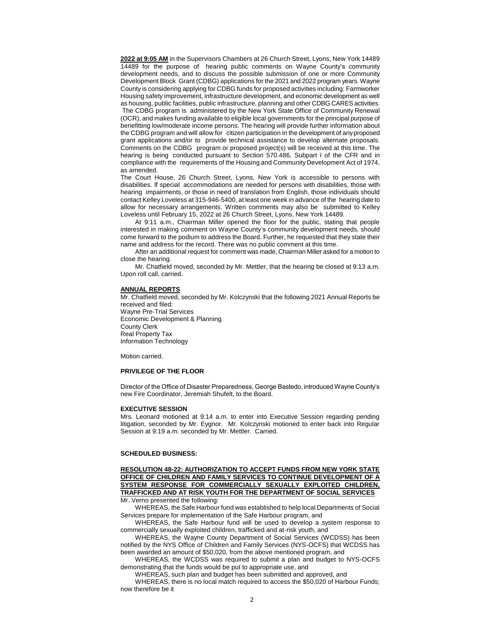**2022 at 9:05 AM** in the Supervisors Chambers at 26 Church Street, Lyons, New York 14489 14489 for the purpose of hearing public comments on Wayne County's community development needs, and to discuss the possible submission of one or more Community Development Block Grant (CDBG) applications for the 2021 and 2022 program years. Wayne County is considering applying for CDBG funds for proposed activities including: Farmworker Housing safety improvement, infrastructure development, and economic development as well as housing, public facilities, public infrastructure, planning and other CDBG CARES activities. The CDBG program is administered by the New York State Office of Community Renewal (OCR), and makes funding available to eligible local governments for the principal purpose of benefitting low/moderate income persons. The hearing will provide further information about the CDBG program and will allow for citizen participation in the development of anyproposed grant applications and/or to provide technical assistance to develop alternate proposals. Comments on the CDBG program or proposed project(s) will be received at this time. The hearing is being conducted pursuant to Section 570.486, Subpart I of the CFR and in compliance with the requirements of the Housing and Community Development Act of 1974, as amended.

The Court House, 26 Church Street, Lyons, New York is accessible to persons with disabilities. If special accommodations are needed for persons with disabilities, those with hearing impairments, or those in need of translation from English, those individuals should contact Kelley Loveless at 315-946-5400, at least one week in advance of the hearing date to allow for necessary arrangements. Written comments may also be submitted to Kelley Loveless until February 15, 2022 at 26 Church Street, Lyons, New York 14489*.*

At 9:11 a.m., Chairman Miller opened the floor for the public, stating that people interested in making comment on Wayne County's community development needs, should come forward to the podium to address the Board. Further, he requested that they state their name and address for the record. There was no public comment at this time.

After an additional request for comment was made, Chairman Miller asked for a motion to close the hearing.

Mr. Chatfield moved, seconded by Mr. Mettler, that the hearing be closed at 9:13 a.m. Upon roll call, carried.

#### **ANNUAL REPORTS**

Mr. Chatfield moved, seconded by Mr. Kolczynski that the following 2021 Annual Reports be received and filed: Wayne Pre-Trial Services Economic Development & Planning County Clerk Real Property Tax Information Technology

Motion carried.

### **PRIVILEGE OF THE FLOOR**

Director of the Office of Disaster Preparedness, George Bastedo, introduced Wayne County's new Fire Coordinator, Jeremiah Shufelt, to the Board.

#### **EXECUTIVE SESSION**

Mrs. Leonard motioned at 9:14 a.m. to enter into Executive Session regarding pending litigation, seconded by Mr. Eygnor. Mr. Kolczynski motioned to enter back into Regular Session at 9:19 a.m. seconded by Mr. Mettler. Carried.

#### **SCHEDULED BUSINESS:**

**RESOLUTION 48-22: AUTHORIZATION TO ACCEPT FUNDS FROM NEW YORK STATE OFFICE OF CHILDREN AND FAMILY SERVICES TO CONTINUE DEVELOPMENT OF A SYSTEM RESPONSE FOR COMMERCIALLY SEXUALLY EXPLOITED CHILDREN, TRAFFICKED AND AT RISK YOUTH FOR THE DEPARTMENT OF SOCIAL SERVICES** Mr. Verno presented the following:

WHEREAS, the Safe Harbour fund was established to help local Departments of Social Services prepare for implementation of the Safe Harbour program, and

WHEREAS, the Safe Harbour fund will be used to develop a system response to commercially sexually exploited children, trafficked and at-risk youth, and

WHEREAS, the Wayne County Department of Social Services (WCDSS) has been notified by the NYS Office of Children and Family Services (NYS-OCFS) that WCDSS has been awarded an amount of \$50,020, from the above mentioned program, and

WHEREAS, the WCDSS was required to submit a plan and budget to NYS-OCFS demonstrating that the funds would be put to appropriate use, and

WHEREAS, such plan and budget has been submitted and approved, and

WHEREAS, there is no local match required to access the \$50,020 of Harbour Funds; now therefore be it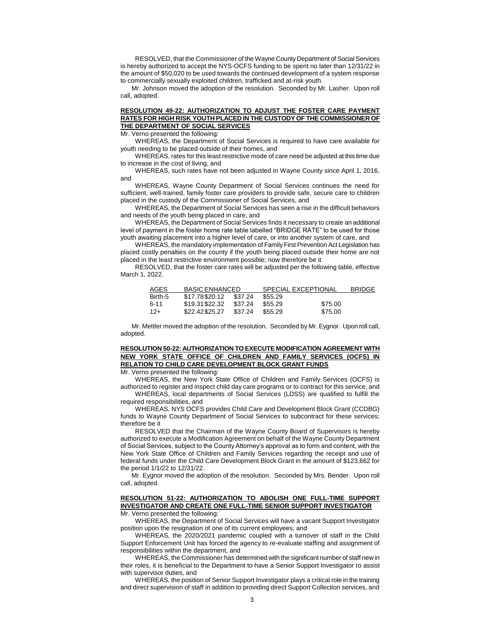RESOLVED, that the Commissioner of the Wayne County Department of Social Services is hereby authorized to accept the NYS-OCFS funding to be spent no later than 12/31/22 in the amount of \$50,020 to be used towards the continued development of a system response to commercially sexually exploited children, trafficked and at-risk youth.

Mr. Johnson moved the adoption of the resolution. Seconded by Mr. Lasher. Upon roll call, adopted.

# **RESOLUTION 49-22: AUTHORIZATION TO ADJUST THE FOSTER CARE PAYMENT RATES FOR HIGH RISK YOUTH PLACED IN THE CUSTODY OF THE COMMISSIONER OF THE DEPARTMENT OF SOCIAL SERVICES**

Mr. Verno presented the following:

WHEREAS, the Department of Social Services is required to have care available for youth needing to be placed outside of their homes, and

WHEREAS, rates for this least restrictive mode of care need be adjusted at this time due to increase in the cost of living, and

WHEREAS, such rates have not been adjusted in Wayne County since April 1, 2016, and

WHEREAS, Wayne County Department of Social Services continues the need for sufficient, well-trained, family foster care providers to provide safe, secure care to children placed in the custody of the Commissioner of Social Services, and

WHEREAS, the Department of Social Services has seen a rise in the difficult behaviors and needs of the youth being placed in care, and

WHEREAS, the Department of Social Services finds it necessary to create an additional level of payment in the foster home rate table labelled "BRIDGE RATE" to be used for those youth awaiting placement into a higher level of care, or into another system of care, and

WHEREAS, the mandatory implementation of Family First Prevention Act Legislation has placed costly penalties on the county if the youth being placed outside their home are not placed in the least restrictive environment possible; now therefore be it

RESOLVED, that the foster care rates will be adjusted per the following table, effective March 1, 2022.

| AGES    | <b>BASIC ENHANCED</b> |         | <b>SPECIAL EXCEPTIONAL</b> |         | <b>BRIDGE</b> |
|---------|-----------------------|---------|----------------------------|---------|---------------|
| Birth-5 | \$17.78\$20.12        | \$37.24 | \$55.29                    |         |               |
| 6-11    | \$19.31\$22.32        | \$37.24 | \$55.29                    | \$75.00 |               |
| $12+$   | \$22.42\$25.27        | \$37.24 | \$55.29                    | \$75.00 |               |

Mr. Mettler moved the adoption of the resolution. Seconded by Mr. Eygnor. Upon roll call, adopted.

## **RESOLUTION 50-22: AUTHORIZATION TO EXECUTE MODIFICATION AGREEMENT WITH NEW YORK STATE OFFICE OF CHILDREN AND FAMILY SERVICES (OCFS) IN RELATION TO CHILD CARE DEVELOPMENT BLOCK GRANT FUNDS**

Mr. Verno presented the following:

WHEREAS, the New York State Office of Children and Family Services (OCFS) is authorized to register and inspect child day care programs or to contract for this service, and

WHEREAS, local departments of Social Services (LDSS) are qualified to fulfill the required responsibilities, and

WHEREAS, NYS OCFS provides Child Care and Development Block Grant (CCDBG) funds to Wayne County Department of Social Services to subcontract for these services; therefore be it

RESOLVED that the Chairman of the Wayne County Board of Supervisors is hereby authorized to execute a Modification Agreement on behalf of the Wayne County Department of Social Services, subject to the County Attorney's approval as to form and content, with the New York State Office of Children and Family Services regarding the receipt and use of federal funds under the Child Care Development Block Grant in the amount of \$123,662 for the period 1/1/22 to 12/31/22.

Mr. Eygnor moved the adoption of the resolution. Seconded by Mrs. Bender. Upon roll call, adopted.

# **RESOLUTION 51-22: AUTHORIZATION TO ABOLISH ONE FULL-TIME SUPPORT INVESTIGATOR AND CREATE ONE FULL-TIME SENIOR SUPPORT INVESTIGATOR**

Mr. Verno presented the following:

WHEREAS, the Department of Social Services will have a vacant Support Investigator position upon the resignation of one of its current employees, and

WHEREAS, the 2020/2021 pandemic coupled with a turnover of staff in the Child Support Enforcement Unit has forced the agency to re-evaluate staffing and assignment of responsibilities within the department, and

WHEREAS, the Commissioner has determined with the significant number of staff new in their roles, it is beneficial to the Department to have a Senior Support Investigator to assist with supervisor duties, and

WHEREAS, the position of Senior Support Investigator plays a critical role in the training and direct supervision of staff in addition to providing direct Support Collection services, and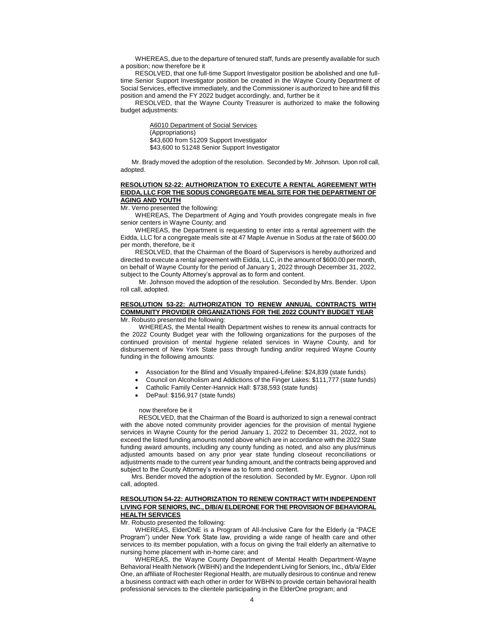WHEREAS, due to the departure of tenured staff, funds are presently available for such a position; now therefore be it

RESOLVED, that one full-time Support Investigator position be abolished and one fulltime Senior Support Investigator position be created in the Wayne County Department of Social Services, effective immediately, and the Commissioner is authorized to hire and fill this position and amend the FY 2022 budget accordingly, and, further be it

RESOLVED, that the Wayne County Treasurer is authorized to make the following budget adjustments:

> A6010 Department of Social Services (Appropriations) \$43,600 from 51209 Support Investigator \$43,600 to 51248 Senior Support Investigator

Mr. Brady moved the adoption of the resolution. Seconded by Mr. Johnson. Upon roll call, adopted.

### **RESOLUTION 52-22: AUTHORIZATION TO EXECUTE A RENTAL AGREEMENT WITH EIDDA, LLC FOR THE SODUS CONGREGATE MEAL SITE FOR THE DEPARTMENT OF AGING AND YOUTH**

Mr. Verno presented the following:

WHEREAS, The Department of Aging and Youth provides congregate meals in five senior centers in Wayne County; and

WHEREAS, the Department is requesting to enter into a rental agreement with the Eidda, LLC for a congregate meals site at 47 Maple Avenue in Sodus at the rate of \$600.00 per month, therefore, be it

RESOLVED, that the Chairman of the Board of Supervisors is hereby authorized and directed to execute a rental agreement with Eidda, LLC, in the amount of \$600.00 per month, on behalf of Wayne County for the period of January 1, 2022 through December 31, 2022, subject to the County Attorney's approval as to form and content.

Mr. Johnson moved the adoption of the resolution. Seconded by Mrs. Bender. Upon roll call, adopted.

### **RESOLUTION 53-22: AUTHORIZATION TO RENEW ANNUAL CONTRACTS WITH COMMUNITY PROVIDER ORGANIZATIONS FOR THE 2022 COUNTY BUDGET YEAR** Mr. Robusto presented the following:

WHEREAS, the Mental Health Department wishes to renew its annual contracts for the 2022 County Budget year with the following organizations for the purposes of the continued provision of mental hygiene related services in Wayne County, and for disbursement of New York State pass through funding and/or required Wayne County funding in the following amounts:

- Association for the Blind and Visually Impaired-Lifeline: \$24,839 (state funds)
- Council on Alcoholism and Addictions of the Finger Lakes: \$111,777 (state funds)
- Catholic Family Center-Hannick Hall: \$738,593 (state funds)
- DePaul: \$156,917 (state funds)

### now therefore be it

RESOLVED, that the Chairman of the Board is authorized to sign a renewal contract with the above noted community provider agencies for the provision of mental hygiene services in Wayne County for the period January 1, 2022 to December 31, 2022, not to exceed the listed funding amounts noted above which are in accordance with the 2022 State funding award amounts, including any county funding as noted, and also any plus/minus adjusted amounts based on any prior year state funding closeout reconciliations or adjustments made to the current year funding amount, and the contracts being approved and subject to the County Attorney's review as to form and content.

Mrs. Bender moved the adoption of the resolution. Seconded by Mr. Eygnor. Upon roll call, adopted.

#### **RESOLUTION 54-22: AUTHORIZATION TO RENEW CONTRACT WITH INDEPENDENT LIVING FOR SENIORS, INC., D/B/A/ ELDERONE FOR THE PROVISION OF BEHAVIORAL HEALTH SERVICES**

Mr. Robusto presented the following:

WHEREAS, ElderONE is a Program of All-Inclusive Care for the Elderly (a "PACE Program") under New York State law, providing a wide range of health care and other services to its member population, with a focus on giving the frail elderly an alternative to nursing home placement with in-home care; and

WHEREAS, the Wayne County Department of Mental Health Department-Wayne Behavioral Health Network (WBHN) and the Independent Living for Seniors, Inc., d/b/a/ Elder One, an affiliate of Rochester Regional Health, are mutually desirous to continue and renew a business contract with each other in order for WBHN to provide certain behavioral health professional services to the clientele participating in the ElderOne program; and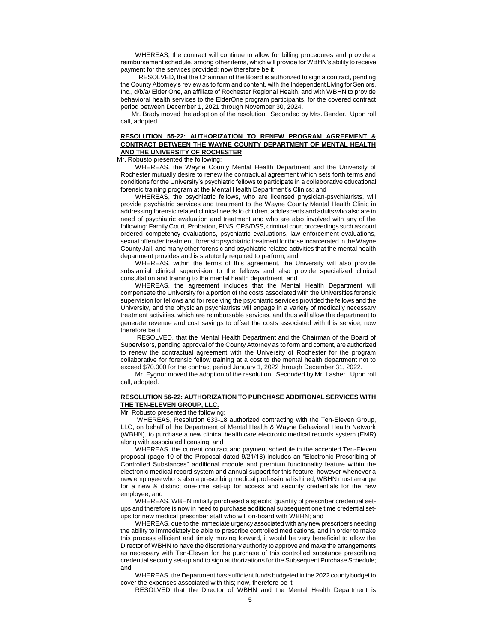WHEREAS, the contract will continue to allow for billing procedures and provide a reimbursement schedule, among other items, which will provide for WBHN's ability to receive payment for the services provided; now therefore be it

 RESOLVED, that the Chairman of the Board is authorized to sign a contract, pending the County Attorney's review as to form and content, with the Independent Living for Seniors, Inc., d/b/a/ Elder One, an affiliate of Rochester Regional Health, and with WBHN to provide behavioral health services to the ElderOne program participants, for the covered contract period between December 1, 2021 through November 30, 2024.

Mr. Brady moved the adoption of the resolution. Seconded by Mrs. Bender. Upon roll call, adopted.

## **RESOLUTION 55-22: AUTHORIZATION TO RENEW PROGRAM AGREEMENT & CONTRACT BETWEEN THE WAYNE COUNTY DEPARTMENT OF MENTAL HEALTH AND THE UNIVERSITY OF ROCHESTER**

Mr. Robusto presented the following:

WHEREAS, the Wayne County Mental Health Department and the University of Rochester mutually desire to renew the contractual agreement which sets forth terms and conditions for the University's psychiatric fellows to participate in a collaborative educational forensic training program at the Mental Health Department's Clinics; and

WHEREAS, the psychiatric fellows, who are licensed physician-psychiatrists, will provide psychiatric services and treatment to the Wayne County Mental Health Clinic in addressing forensic related clinical needs to children, adolescents and adults who also are in need of psychiatric evaluation and treatment and who are also involved with any of the following: Family Court, Probation, PINS, CPS/DSS, criminal court proceedings such as court ordered competency evaluations, psychiatric evaluations, law enforcement evaluations, sexual offender treatment, forensic psychiatric treatment for those incarcerated in the Wayne County Jail, and many other forensic and psychiatric related activities that the mental health department provides and is statutorily required to perform; and

WHEREAS, within the terms of this agreement, the University will also provide substantial clinical supervision to the fellows and also provide specialized clinical consultation and training to the mental health department; and

WHEREAS, the agreement includes that the Mental Health Department will compensate the University for a portion of the costs associated with the Universities forensic supervision for fellows and for receiving the psychiatric services provided the fellows and the University, and the physician psychiatrists will engage in a variety of medically necessary treatment activities, which are reimbursable services, and thus will allow the department to generate revenue and cost savings to offset the costs associated with this service; now therefore be it

RESOLVED, that the Mental Health Department and the Chairman of the Board of Supervisors, pending approval of the County Attorney as to form and content, are authorized to renew the contractual agreement with the University of Rochester for the program collaborative for forensic fellow training at a cost to the mental health department not to exceed \$70,000 for the contract period January 1, 2022 through December 31, 2022.

Mr. Eygnor moved the adoption of the resolution. Seconded by Mr. Lasher. Upon roll call, adopted.

### **RESOLUTION 56-22: AUTHORIZATION TO PURCHASE ADDITIONAL SERVICES WITH THE TEN-ELEVEN GROUP, LLC.**

Mr. Robusto presented the following:

WHEREAS, Resolution 633-18 authorized contracting with the Ten-Eleven Group, LLC, on behalf of the Department of Mental Health & Wayne Behavioral Health Network (WBHN), to purchase a new clinical health care electronic medical records system (EMR) along with associated licensing; and

WHEREAS, the current contract and payment schedule in the accepted Ten-Eleven proposal (page 10 of the Proposal dated 9/21/18) includes an "Electronic Prescribing of Controlled Substances" additional module and premium functionality feature within the electronic medical record system and annual support for this feature, however whenever a new employee who is also a prescribing medical professional is hired, WBHN must arrange for a new & distinct one-time set-up for access and security credentials for the new employee; and

WHEREAS, WBHN initially purchased a specific quantity of prescriber credential setups and therefore is now in need to purchase additional subsequent one time credential setups for new medical prescriber staff who will on-board with WBHN; and

WHEREAS, due to the immediate urgency associated with any new prescribers needing the ability to immediately be able to prescribe controlled medications, and in order to make this process efficient and timely moving forward, it would be very beneficial to allow the Director of WBHN to have the discretionary authority to approve and make the arrangements as necessary with Ten-Eleven for the purchase of this controlled substance prescribing credential security set-up and to sign authorizations for the Subsequent Purchase Schedule; and

WHEREAS, the Department has sufficient funds budgeted in the 2022 county budget to cover the expenses associated with this; now, therefore be it

RESOLVED that the Director of WBHN and the Mental Health Department is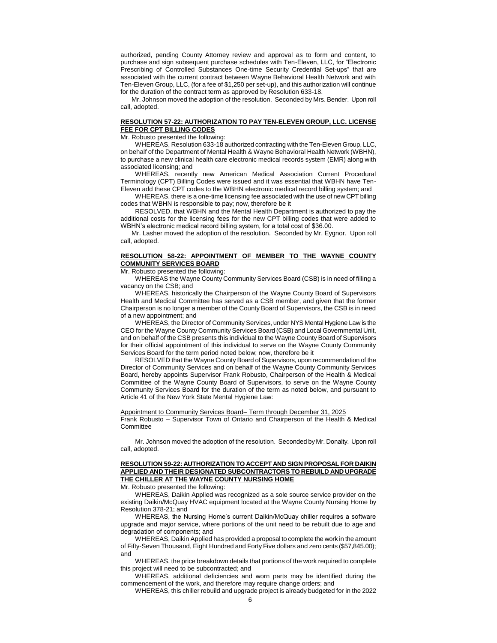authorized, pending County Attorney review and approval as to form and content, to purchase and sign subsequent purchase schedules with Ten-Eleven, LLC, for "Electronic Prescribing of Controlled Substances One-time Security Credential Set-ups" that are associated with the current contract between Wayne Behavioral Health Network and with Ten-Eleven Group, LLC, (for a fee of \$1,250 per set-up), and this authorization will continue for the duration of the contract term as approved by Resolution 633-18.

Mr. Johnson moved the adoption of the resolution. Seconded by Mrs. Bender. Upon roll call, adopted.

### **RESOLUTION 57-22: AUTHORIZATION TO PAY TEN-ELEVEN GROUP, LLC. LICENSE FEE FOR CPT BILLING CODES**

Mr. Robusto presented the following:

WHEREAS, Resolution 633-18 authorized contracting with the Ten-Eleven Group, LLC, on behalf of the Department of Mental Health & Wayne Behavioral Health Network (WBHN), to purchase a new clinical health care electronic medical records system (EMR) along with associated licensing; and

WHEREAS, recently new American Medical Association Current Procedural Terminology (CPT) Billing Codes were issued and it was essential that WBHN have Ten-Eleven add these CPT codes to the WBHN electronic medical record billing system; and

WHEREAS, there is a one-time licensing fee associated with the use of new CPT billing codes that WBHN is responsible to pay; now, therefore be it

RESOLVED, that WBHN and the Mental Health Department is authorized to pay the additional costs for the licensing fees for the new CPT billing codes that were added to WBHN's electronic medical record billing system, for a total cost of \$36.00.

Mr. Lasher moved the adoption of the resolution. Seconded by Mr. Eygnor. Upon roll call, adopted.

#### **RESOLUTION 58-22: APPOINTMENT OF MEMBER TO THE WAYNE COUNTY COMMUNITY SERVICES BOARD**

Mr. Robusto presented the following:

WHEREAS the Wayne County Community Services Board (CSB) is in need of filling a vacancy on the CSB; and

WHEREAS, historically the Chairperson of the Wayne County Board of Supervisors Health and Medical Committee has served as a CSB member, and given that the former Chairperson is no longer a member of the County Board of Supervisors, the CSB is in need of a new appointment; and

WHEREAS, the Director of Community Services, under NYS Mental Hygiene Law is the CEO for the Wayne County Community Services Board (CSB) and Local Governmental Unit, and on behalf of the CSB presents this individual to the Wayne County Board of Supervisors for their official appointment of this individual to serve on the Wayne County Community Services Board for the term period noted below; now, therefore be it

RESOLVED that the Wayne County Board of Supervisors, upon recommendation of the Director of Community Services and on behalf of the Wayne County Community Services Board, hereby appoints Supervisor Frank Robusto, Chairperson of the Health & Medical Committee of the Wayne County Board of Supervisors, to serve on the Wayne County Community Services Board for the duration of the term as noted below, and pursuant to Article 41 of the New York State Mental Hygiene Law:

Appointment to Community Services Board– Term through December 31, 2025 Frank Robusto – Supervisor Town of Ontario and Chairperson of the Health & Medical **Committee** 

Mr. Johnson moved the adoption of the resolution. Seconded by Mr. Donalty. Upon roll call, adopted.

# **RESOLUTION 59-22: AUTHORIZATION TO ACCEPT AND SIGN PROPOSAL FOR DAIKIN APPLIED AND THEIR DESIGNATED SUBCONTRACTORS TO REBUILD AND UPGRADE THE CHILLER AT THE WAYNE COUNTY NURSING HOME**

Mr. Robusto presented the following:

WHEREAS, Daikin Applied was recognized as a sole source service provider on the existing Daikin/McQuay HVAC equipment located at the Wayne County Nursing Home by Resolution 378-21; and

WHEREAS, the Nursing Home's current Daikin/McQuay chiller requires a software upgrade and major service, where portions of the unit need to be rebuilt due to age and degradation of components; and

WHEREAS, Daikin Applied has provided a proposal to complete the work in the amount of Fifty-Seven Thousand, Eight Hundred and Forty Five dollars and zero cents (\$57,845.00); and

WHEREAS, the price breakdown details that portions of the work required to complete this project will need to be subcontracted; and

WHEREAS, additional deficiencies and worn parts may be identified during the commencement of the work, and therefore may require change orders; and

WHEREAS, this chiller rebuild and upgrade project is already budgeted for in the 2022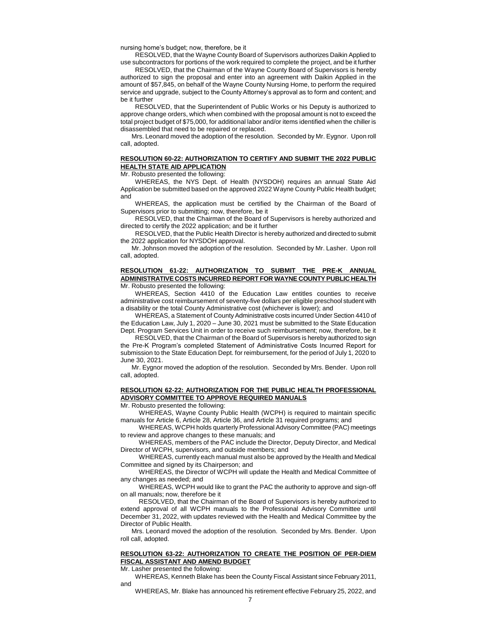nursing home's budget; now, therefore, be it

RESOLVED, that the Wayne County Board of Supervisors authorizes Daikin Applied to use subcontractors for portions of the work required to complete the project, and be it further

RESOLVED, that the Chairman of the Wayne County Board of Supervisors is hereby authorized to sign the proposal and enter into an agreement with Daikin Applied in the amount of \$57,845, on behalf of the Wayne County Nursing Home, to perform the required service and upgrade, subject to the County Attorney's approval as to form and content; and be it further

RESOLVED, that the Superintendent of Public Works or his Deputy is authorized to approve change orders, which when combined with the proposal amount is not to exceed the total project budget of \$75,000, for additional labor and/or items identified when the chiller is disassembled that need to be repaired or replaced.

Mrs. Leonard moved the adoption of the resolution. Seconded by Mr. Eygnor. Upon roll call, adopted.

### **RESOLUTION 60-22: AUTHORIZATION TO CERTIFY AND SUBMIT THE 2022 PUBLIC HEALTH STATE AID APPLICATION**

Mr. Robusto presented the following:

WHEREAS, the NYS Dept. of Health (NYSDOH) requires an annual State Aid Application be submitted based on the approved 2022 Wayne County Public Health budget; and

WHEREAS, the application must be certified by the Chairman of the Board of Supervisors prior to submitting; now, therefore, be it

RESOLVED, that the Chairman of the Board of Supervisors is hereby authorized and directed to certify the 2022 application; and be it further

RESOLVED, that the Public Health Director is hereby authorized and directed to submit the 2022 application for NYSDOH approval.

Mr. Johnson moved the adoption of the resolution. Seconded by Mr. Lasher. Upon roll call, adopted.

### **RESOLUTION 61-22: AUTHORIZATION TO SUBMIT THE PRE-K ANNUAL ADMINISTRATIVE COSTS INCURRED REPORT FOR WAYNE COUNTY PUBLIC HEALTH**  Mr. Robusto presented the following:

WHEREAS, Section 4410 of the Education Law entitles counties to receive administrative cost reimbursement of seventy-five dollars per eligible preschool student with a disability or the total County Administrative cost (whichever is lower); and

WHEREAS, a Statement of County Administrative costs incurred Under Section 4410 of the Education Law, July 1, 2020 – June 30, 2021 must be submitted to the State Education Dept. Program Services Unit in order to receive such reimbursement; now, therefore, be it

RESOLVED, that the Chairman of the Board of Supervisors is hereby authorized to sign the Pre-K Program's completed Statement of Administrative Costs Incurred Report for submission to the State Education Dept. for reimbursement, for the period of July 1, 2020 to June 30, 2021.

Mr. Eygnor moved the adoption of the resolution. Seconded by Mrs. Bender. Upon roll call, adopted.

### **RESOLUTION 62-22: AUTHORIZATION FOR THE PUBLIC HEALTH PROFESSIONAL ADVISORY COMMITTEE TO APPROVE REQUIRED MANUALS**

Mr. Robusto presented the following:

WHEREAS, Wayne County Public Health (WCPH) is required to maintain specific manuals for Article 6, Article 28, Article 36, and Article 31 required programs; and

WHEREAS, WCPH holds quarterly Professional Advisory Committee (PAC) meetings to review and approve changes to these manuals; and

WHEREAS, members of the PAC include the Director, Deputy Director, and Medical Director of WCPH, supervisors, and outside members; and

WHEREAS, currently each manual must also be approved by the Health and Medical Committee and signed by its Chairperson; and

WHEREAS, the Director of WCPH will update the Health and Medical Committee of any changes as needed; and

WHEREAS, WCPH would like to grant the PAC the authority to approve and sign-off on all manuals; now, therefore be it

RESOLVED, that the Chairman of the Board of Supervisors is hereby authorized to extend approval of all WCPH manuals to the Professional Advisory Committee until December 31, 2022, with updates reviewed with the Health and Medical Committee by the Director of Public Health.

Mrs. Leonard moved the adoption of the resolution. Seconded by Mrs. Bender. Upon roll call, adopted.

## **RESOLUTION 63-22: AUTHORIZATION TO CREATE THE POSITION OF PER-DIEM FISCAL ASSISTANT AND AMEND BUDGET**

Mr. Lasher presented the following:

WHEREAS, Kenneth Blake has been the County Fiscal Assistant since February 2011, and

WHEREAS, Mr. Blake has announced his retirement effective February 25, 2022, and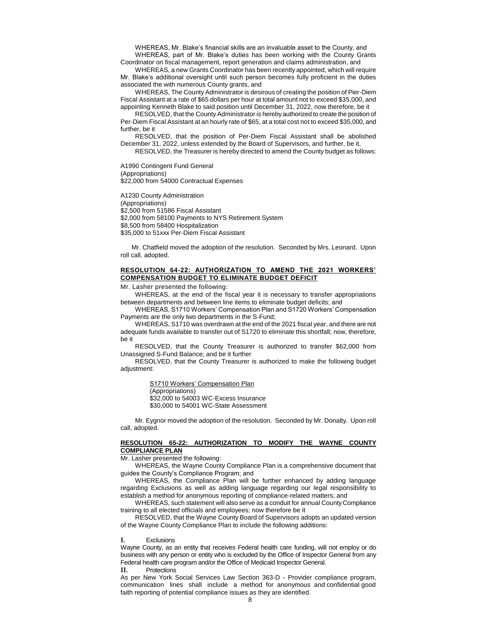WHEREAS, Mr. Blake's financial skills are an invaluable asset to the County, and WHEREAS, part of Mr. Blake's duties has been working with the County Grants

Coordinator on fiscal management, report generation and claims administration, and WHEREAS, a new Grants Coordinator has been recently appointed, which will require

Mr. Blake's additional oversight until such person becomes fully proficient in the duties associated the with numerous County grants, and

WHEREAS, The County Administrator is desirous of creating the position of Pier-Diem Fiscal Assistant at a rate of \$65 dollars per hour at total amount not to exceed \$35,000, and appointing Kenneth Blake to said position until December 31, 2022, now therefore, be it

RESOLVED, that the County Administrator is hereby authorized to create the position of Per-Diem Fiscal Assistant at an hourly rate of \$65, at a total cost not to exceed \$35,000, and further, be it

RESOLVED, that the position of Per-Diem Fiscal Assistant shall be abolished December 31, 2022, unless extended by the Board of Supervisors, and further, be it,

RESOLVED, the Treasurer is hereby directed to amend the County budget as follows:

A1990 Contingent Fund General (Appropriations) \$22,000 from 54000 Contractual Expenses

A1230 County Administration (Appropriations) \$2,500 from 51586 Fiscal Assistant \$2,000 from 58100 Payments to NYS Retirement System \$8,500 from 58400 Hospitalization \$35,000 to 51xxx Per-Diem Fiscal Assistant

Mr. Chatfield moved the adoption of the resolution. Seconded by Mrs. Leonard. Upon roll call, adopted.

### **RESOLUTION 64-22: AUTHORIZATION TO AMEND THE 2021 WORKERS' COMPENSATION BUDGET TO ELIMINATE BUDGET DEFICIT**

Mr. Lasher presented the following:

WHEREAS, at the end of the fiscal year it is necessary to transfer appropriations between departments and between line items to eliminate budget deficits; and

WHEREAS, S1710 Workers' Compensation Plan and S1720 Workers' Compensation Payments are the only two departments in the S-Fund;

WHEREAS, S1710 was overdrawn at the end of the 2021 fiscal year, and there are not adequate funds available to transfer out of S1720 to eliminate this shortfall; now, therefore, be it

RESOLVED, that the County Treasurer is authorized to transfer \$62,000 from Unassigned S-Fund Balance; and be it further

RESOLVED, that the County Treasurer is authorized to make the following budget adjustment:

> S1710 Workers' Compensation Plan (Appropriations) \$32,000 to 54003 WC-Excess Insurance \$30,000 to 54001 WC-State Assessment

Mr. Eygnor moved the adoption of the resolution. Seconded by Mr. Donalty. Upon roll call, adopted.

### **RESOLUTION 65-22: AUTHORIZATION TO MODIFY THE WAYNE COUNTY COMPLIANCE PLAN**

Mr. Lasher presented the following:

WHEREAS, the Wayne County Compliance Plan is a comprehensive document that guides the County's Compliance Program; and

WHEREAS, the Compliance Plan will be further enhanced by adding language regarding Exclusions as well as adding language regarding our legal responsibility to establish a method for anonymous reporting of compliance-related matters; and

WHEREAS, such statement will also serve as a conduit for annual County Compliance training to all elected officials and employees; now therefore be it

RESOLVED, that the Wayne County Board of Supervisors adopts an updated version of the Wayne County Compliance Plan to include the following additions:

**I.** Exclusions

Wayne County, as an entity that receives Federal health care funding, will not employ or do business with any person or entity who is excluded by the Office of Inspector General from any Federal health care program and/or the Office of Medicaid Inspector General.

**II.** Protections

As per New York Social Services Law Section 363-D - Provider compliance program, communication lines shall include a method for anonymous and confidential good faith reporting of potential compliance issues as they are identified.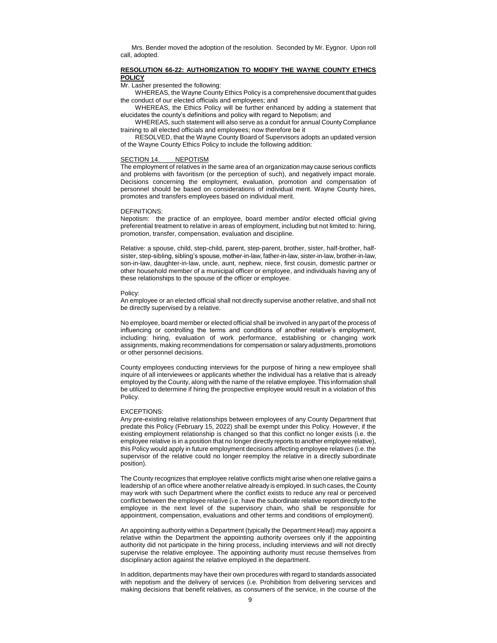Mrs. Bender moved the adoption of the resolution. Seconded by Mr. Eygnor. Upon roll call, adopted.

### **RESOLUTION 66-22: AUTHORIZATION TO MODIFY THE WAYNE COUNTY ETHICS POLICY**

Mr. Lasher presented the following:

WHEREAS, the Wayne County Ethics Policy is a comprehensive document that guides the conduct of our elected officials and employees; and

WHEREAS, the Ethics Policy will be further enhanced by adding a statement that elucidates the county's definitions and policy with regard to Nepotism; and

WHEREAS, such statement will also serve as a conduit for annual County Compliance training to all elected officials and employees; now therefore be it

RESOLVED, that the Wayne County Board of Supervisors adopts an updated version of the Wayne County Ethics Policy to include the following addition:

#### SECTION 14. NEPOTISM

The employment of relatives in the same area of an organization may cause serious conflicts and problems with favoritism (or the perception of such), and negatively impact morale. Decisions concerning the employment, evaluation, promotion and compensation of personnel should be based on considerations of individual merit. Wayne County hires, promotes and transfers employees based on individual merit.

#### DEFINITIONS:

Nepotism: the practice of an employee, board member and/or elected official giving preferential treatment to relative in areas of employment, including but not limited to: hiring, promotion, transfer, compensation, evaluation and discipline.

Relative: a spouse, child, step-child, parent, step-parent, brother, sister, half-brother, halfsister, step-sibling, sibling's spouse, mother-in-law, father-in-law, sister-in-law, brother-in-law, son-in-law, daughter-in-law, uncle, aunt, nephew, niece, first cousin, domestic partner or other household member of a municipal officer or employee, and individuals having any of these relationships to the spouse of the officer or employee.

#### Policy:

An employee or an elected official shall not directly supervise another relative, and shall not be directly supervised by a relative.

No employee, board member or elected official shall be involved in any part of the process of influencing or controlling the terms and conditions of another relative's employment, including: hiring, evaluation of work performance, establishing or changing work assignments, making recommendations for compensation or salary adjustments, promotions or other personnel decisions.

County employees conducting interviews for the purpose of hiring a new employee shall inquire of all interviewees or applicants whether the individual has a relative that is already employed by the County, along with the name of the relative employee. This information shall be utilized to determine if hiring the prospective employee would result in a violation of this Policy.

#### EXCEPTIONS:

Any pre-existing relative relationships between employees of any County Department that predate this Policy (February 15, 2022) shall be exempt under this Policy. However, if the existing employment relationship is changed so that this conflict no longer exists (i.e. the employee relative is in a position that no longer directly reports to another employee relative), this Policy would apply in future employment decisions affecting employee relatives (i.e. the supervisor of the relative could no longer reemploy the relative in a directly subordinate position).

The County recognizes that employee relative conflicts might arise when one relative gains a leadership of an office where another relative already is employed. In such cases, the County may work with such Department where the conflict exists to reduce any real or perceived conflict between the employee relative (i.e. have the subordinate relative report directly to the employee in the next level of the supervisory chain, who shall be responsible for appointment, compensation, evaluations and other terms and conditions of employment).

An appointing authority within a Department (typically the Department Head) may appoint a relative within the Department the appointing authority oversees only if the appointing authority did not participate in the hiring process, including interviews and will not directly supervise the relative employee. The appointing authority must recuse themselves from disciplinary action against the relative employed in the department.

In addition, departments may have their own procedures with regard to standards associated with nepotism and the delivery of services (i.e. Prohibition from delivering services and making decisions that benefit relatives, as consumers of the service, in the course of the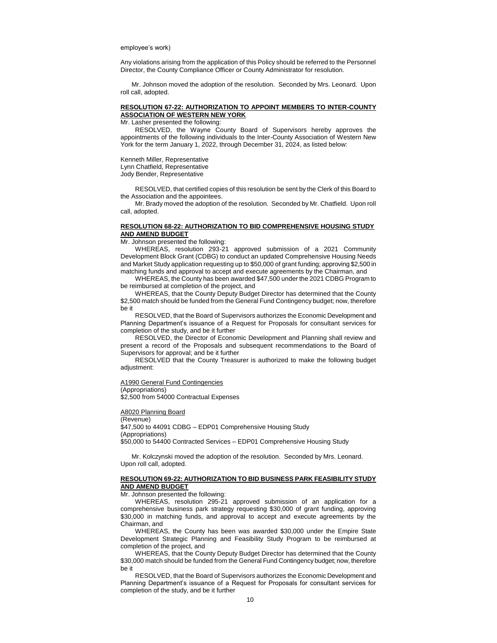#### employee's work)

Any violations arising from the application of this Policy should be referred to the Personnel Director, the County Compliance Officer or County Administrator for resolution.

Mr. Johnson moved the adoption of the resolution. Seconded by Mrs. Leonard. Upon roll call, adopted.

### **RESOLUTION 67-22: AUTHORIZATION TO APPOINT MEMBERS TO INTER-COUNTY ASSOCIATION OF WESTERN NEW YORK**

Mr. Lasher presented the following:

RESOLVED, the Wayne County Board of Supervisors hereby approves the appointments of the following individuals to the Inter-County Association of Western New York for the term January 1, 2022, through December 31, 2024, as listed below:

Kenneth Miller, Representative

Lynn Chatfield, Representative

Jody Bender, Representative

RESOLVED, that certified copies of this resolution be sent by the Clerk of this Board to the Association and the appointees.

Mr. Brady moved the adoption of the resolution. Seconded by Mr. Chatfield. Upon roll call, adopted.

### **RESOLUTION 68-22: AUTHORIZATION TO BID COMPREHENSIVE HOUSING STUDY AND AMEND BUDGET**

Mr. Johnson presented the following:

WHEREAS, resolution 293-21 approved submission of a 2021 Community Development Block Grant (CDBG) to conduct an updated Comprehensive Housing Needs and Market Study application requesting up to \$50,000 of grant funding; approving \$2,500 in matching funds and approval to accept and execute agreements by the Chairman, and

WHEREAS, the County has been awarded \$47,500 under the 2021 CDBG Program to be reimbursed at completion of the project, and

WHEREAS, that the County Deputy Budget Director has determined that the County \$2,500 match should be funded from the General Fund Contingency budget; now, therefore be it

RESOLVED, that the Board of Supervisors authorizes the Economic Development and Planning Department's issuance of a Request for Proposals for consultant services for completion of the study, and be it further

RESOLVED, the Director of Economic Development and Planning shall review and present a record of the Proposals and subsequent recommendations to the Board of Supervisors for approval; and be it further

RESOLVED that the County Treasurer is authorized to make the following budget adiustment:

A1990 General Fund Contingencies

#### (Appropriations)

\$2,500 from 54000 Contractual Expenses

A8020 Planning Board

(Revenue) \$47,500 to 44091 CDBG – EDP01 Comprehensive Housing Study (Appropriations) \$50,000 to 54400 Contracted Services – EDP01 Comprehensive Housing Study

Mr. Kolczynski moved the adoption of the resolution. Seconded by Mrs. Leonard. Upon roll call, adopted.

#### **RESOLUTION 69-22: AUTHORIZATION TO BID BUSINESS PARK FEASIBILITY STUDY AND AMEND BUDGET**

Mr. Johnson presented the following:

WHEREAS, resolution 295-21 approved submission of an application for a comprehensive business park strategy requesting \$30,000 of grant funding, approving \$30,000 in matching funds, and approval to accept and execute agreements by the Chairman, and

WHEREAS, the County has been was awarded \$30,000 under the Empire State Development Strategic Planning and Feasibility Study Program to be reimbursed at completion of the project, and

WHEREAS, that the County Deputy Budget Director has determined that the County \$30,000 match should be funded from the General Fund Contingency budget; now, therefore be it

RESOLVED, that the Board of Supervisors authorizes the Economic Development and Planning Department's issuance of a Request for Proposals for consultant services for completion of the study, and be it further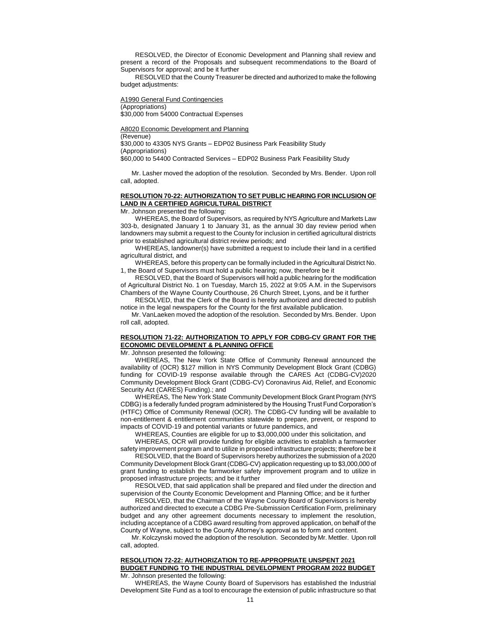RESOLVED, the Director of Economic Development and Planning shall review and present a record of the Proposals and subsequent recommendations to the Board of Supervisors for approval; and be it further

RESOLVED that the County Treasurer be directed and authorized to make the following budget adjustments:

A1990 General Fund Contingencies (Appropriations) \$30,000 from 54000 Contractual Expenses

A8020 Economic Development and Planning (Revenue) \$30,000 to 43305 NYS Grants – EDP02 Business Park Feasibility Study (Appropriations) \$60,000 to 54400 Contracted Services – EDP02 Business Park Feasibility Study

Mr. Lasher moved the adoption of the resolution. Seconded by Mrs. Bender. Upon roll call, adopted.

# **RESOLUTION 70-22: AUTHORIZATION TO SET PUBLIC HEARING FOR INCLUSION OF LAND IN A CERTIFIED AGRICULTURAL DISTRICT**

Mr. Johnson presented the following:

WHEREAS, the Board of Supervisors, as required by NYS Agriculture and Markets Law 303-b, designated January 1 to January 31, as the annual 30 day review period when landowners may submit a request to the County for inclusion in certified agricultural districts prior to established agricultural district review periods; and

WHEREAS, landowner(s) have submitted a request to include their land in a certified agricultural district, and

WHEREAS, before this property can be formally included in the Agricultural District No. 1, the Board of Supervisors must hold a public hearing; now, therefore be it

RESOLVED, that the Board of Supervisors will hold a public hearing for the modification of Agricultural District No. 1 on Tuesday, March 15, 2022 at 9:05 A.M. in the Supervisors Chambers of the Wayne County Courthouse, 26 Church Street, Lyons, and be it further

RESOLVED, that the Clerk of the Board is hereby authorized and directed to publish notice in the legal newspapers for the County for the first available publication.

Mr. VanLaeken moved the adoption of the resolution. Seconded by Mrs. Bender. Upon roll call, adopted.

### **RESOLUTION 71-22: AUTHORIZATION TO APPLY FOR CDBG-CV GRANT FOR THE ECONOMIC DEVELOPMENT & PLANNING OFFICE**

Mr. Johnson presented the following:

WHEREAS, The New York State Office of Community Renewal announced the availability of (OCR) \$127 million in NYS Community Development Block Grant (CDBG) funding for COVID-19 response available through the CARES Act (CDBG-CV)2020 Community Development Block Grant (CDBG-CV) Coronavirus Aid, Relief, and Economic Security Act (CARES) Funding).; and

WHEREAS, The New York State Community Development Block Grant Program (NYS CDBG) is a federally funded program administered by the Housing Trust Fund Corporation's (HTFC) Office of Community Renewal (OCR). The CDBG-CV funding will be available to non-entitlement & entitlement communities statewide to prepare, prevent, or respond to impacts of COVID-19 and potential variants or future pandemics, and

WHEREAS, Counties are eligible for up to \$3,000,000 under this solicitation, and

WHEREAS, OCR will provide funding for eligible activities to establish a farmworker safety improvement program and to utilize in proposed infrastructure projects; therefore be it

RESOLVED, that the Board of Supervisors hereby authorizes the submission of a 2020 Community Development Block Grant (CDBG-CV) application requesting up to \$3,000,000 of grant funding to establish the farmworker safety improvement program and to utilize in proposed infrastructure projects; and be it further

RESOLVED, that said application shall be prepared and filed under the direction and supervision of the County Economic Development and Planning Office; and be it further

RESOLVED, that the Chairman of the Wayne County Board of Supervisors is hereby authorized and directed to execute a CDBG Pre-Submission Certification Form, preliminary budget and any other agreement documents necessary to implement the resolution, including acceptance of a CDBG award resulting from approved application, on behalf of the County of Wayne, subject to the County Attorney's approval as to form and content.

Mr. Kolczynski moved the adoption of the resolution. Seconded by Mr. Mettler. Upon roll call, adopted.

### **RESOLUTION 72-22: AUTHORIZATION TO RE-APPROPRIATE UNSPENT 2021 BUDGET FUNDING TO THE INDUSTRIAL DEVELOPMENT PROGRAM 2022 BUDGET** Mr. Johnson presented the following:

WHEREAS, the Wayne County Board of Supervisors has established the Industrial Development Site Fund as a tool to encourage the extension of public infrastructure so that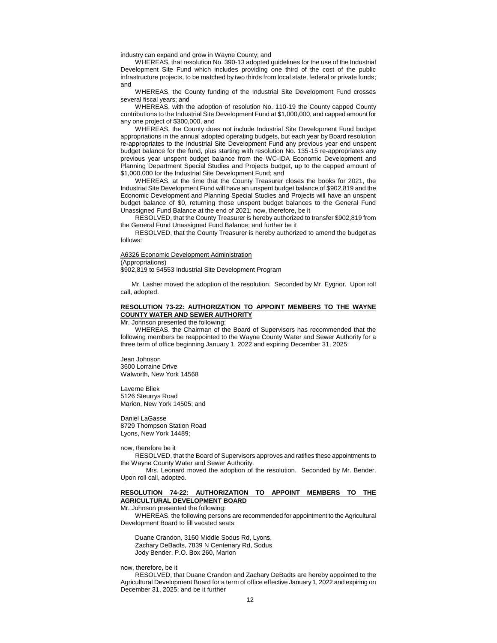industry can expand and grow in Wayne County; and

WHEREAS, that resolution No. 390-13 adopted guidelines for the use of the Industrial Development Site Fund which includes providing one third of the cost of the public infrastructure projects, to be matched by two thirds from local state, federal or private funds; and

WHEREAS, the County funding of the Industrial Site Development Fund crosses several fiscal years; and

WHEREAS, with the adoption of resolution No. 110-19 the County capped County contributions to the Industrial Site Development Fund at \$1,000,000, and capped amount for any one project of \$300,000, and

WHEREAS, the County does not include Industrial Site Development Fund budget appropriations in the annual adopted operating budgets, but each year by Board resolution re-appropriates to the Industrial Site Development Fund any previous year end unspent budget balance for the fund, plus starting with resolution No. 135-15 re-appropriates any previous year unspent budget balance from the WC-IDA Economic Development and Planning Department Special Studies and Projects budget, up to the capped amount of \$1,000,000 for the Industrial Site Development Fund; and

WHEREAS, at the time that the County Treasurer closes the books for 2021, the Industrial Site Development Fund will have an unspent budget balance of \$902,819 and the Economic Development and Planning Special Studies and Projects will have an unspent budget balance of \$0, returning those unspent budget balances to the General Fund Unassigned Fund Balance at the end of 2021; now, therefore, be it

RESOLVED, that the County Treasurer is hereby authorized to transfer \$902,819 from the General Fund Unassigned Fund Balance; and further be it

RESOLVED, that the County Treasurer is hereby authorized to amend the budget as follows:

# A6326 Economic Development Administration

(Appropriations)

\$902,819 to 54553 Industrial Site Development Program

Mr. Lasher moved the adoption of the resolution. Seconded by Mr. Eygnor. Upon roll call, adopted.

# **RESOLUTION 73-22: AUTHORIZATION TO APPOINT MEMBERS TO THE WAYNE COUNTY WATER AND SEWER AUTHORITY**

Mr. Johnson presented the following:

WHEREAS, the Chairman of the Board of Supervisors has recommended that the following members be reappointed to the Wayne County Water and Sewer Authority for a three term of office beginning January 1, 2022 and expiring December 31, 2025:

Jean Johnson 3600 Lorraine Drive Walworth, New York 14568

Laverne Bliek 5126 Steurrys Road Marion, New York 14505; and

Daniel LaGasse 8729 Thompson Station Road Lyons, New York 14489;

now, therefore be it

RESOLVED, that the Board of Supervisors approves and ratifies these appointments to the Wayne County Water and Sewer Authority.

Mrs. Leonard moved the adoption of the resolution. Seconded by Mr. Bender. Upon roll call, adopted.

### **RESOLUTION 74-22: AUTHORIZATION TO APPOINT MEMBERS TO THE AGRICULTURAL DEVELOPMENT BOARD**

# Mr. Johnson presented the following:

WHEREAS, the following persons are recommended for appointment to the Agricultural Development Board to fill vacated seats:

Duane Crandon, 3160 Middle Sodus Rd, Lyons, Zachary DeBadts, 7839 N Centenary Rd, Sodus Jody Bender, P.O. Box 260, Marion

now, therefore, be it

RESOLVED, that Duane Crandon and Zachary DeBadts are hereby appointed to the Agricultural Development Board for a term of office effective January 1, 2022 and expiring on December 31, 2025; and be it further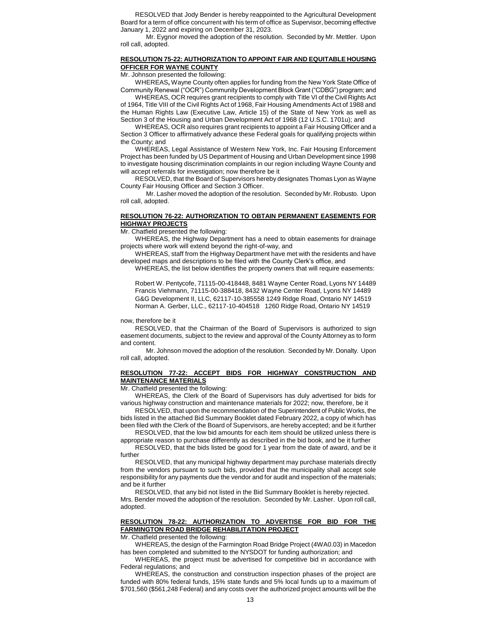RESOLVED that Jody Bender is hereby reappointed to the Agricultural Development Board for a term of office concurrent with his term of office as Supervisor, becoming effective January 1, 2022 and expiring on December 31, 2023.

Mr. Eygnor moved the adoption of the resolution. Seconded by Mr. Mettler. Upon roll call, adopted.

### **RESOLUTION 75-22: AUTHORIZATION TO APPOINT FAIR AND EQUITABLE HOUSING OFFICER FOR WAYNE COUNTY**

Mr. Johnson presented the following:

WHEREAS**,** Wayne County often applies for funding from the New York State Office of Community Renewal ("OCR") Community Development Block Grant ("CDBG") program; and

WHEREAS, OCR requires grant recipients to comply with Title VI of the Civil Rights Act of 1964, Title VIII of the Civil Rights Act of 1968, Fair Housing Amendments Act of 1988 and the Human Rights Law (Executive Law, Article 15) of the State of New York as well as Section 3 of the Housing and Urban Development Act of 1968 (12 U.S.C. 1701u); and

WHEREAS, OCR also requires grant recipients to appoint a Fair Housing Officer and a Section 3 Officer to affirmatively advance these Federal goals for qualifying projects within the County; and

WHEREAS, Legal Assistance of Western New York, Inc. Fair Housing Enforcement Project has been funded by US Department of Housing and Urban Development since 1998 to investigate housing discrimination complaints in our region including Wayne County and will accept referrals for investigation; now therefore be it

RESOLVED, that the Board of Supervisors hereby designates Thomas Lyon as Wayne County Fair Housing Officer and Section 3 Officer.

Mr. Lasher moved the adoption of the resolution. Seconded by Mr. Robusto. Upon roll call, adopted.

#### **RESOLUTION 76-22: AUTHORIZATION TO OBTAIN PERMANENT EASEMENTS FOR HIGHWAY PROJECTS**

Mr. Chatfield presented the following:

WHEREAS, the Highway Department has a need to obtain easements for drainage projects where work will extend beyond the right-of-way, and

WHEREAS, staff from the Highway Department have met with the residents and have developed maps and descriptions to be filed with the County Clerk's office, and

WHEREAS, the list below identifies the property owners that will require easements:

Robert W. Pentycofe, 71115-00-418448, 8481 Wayne Center Road, Lyons NY 14489 Francis Viehmann, 71115-00-388418, 8432 Wayne Center Road, Lyons NY 14489 G&G Development II, LLC, 62117-10-385558 1249 Ridge Road, Ontario NY 14519 Norman A. Gerber, LLC., 62117-10-404518 1260 Ridge Road, Ontario NY 14519

### now, therefore be it

RESOLVED, that the Chairman of the Board of Supervisors is authorized to sign easement documents, subject to the review and approval of the County Attorney as to form and content.

Mr. Johnson moved the adoption of the resolution. Seconded by Mr. Donalty. Upon roll call, adopted.

### **RESOLUTION 77-22: ACCEPT BIDS FOR HIGHWAY CONSTRUCTION AND MAINTENANCE MATERIALS**

Mr. Chatfield presented the following:

WHEREAS, the Clerk of the Board of Supervisors has duly advertised for bids for various highway construction and maintenance materials for 2022; now, therefore, be it

RESOLVED, that upon the recommendation of the Superintendent of Public Works, the bids listed in the attached Bid Summary Booklet dated February 2022, a copy of which has been filed with the Clerk of the Board of Supervisors, are hereby accepted; and be it further

RESOLVED, that the low bid amounts for each item should be utilized unless there is appropriate reason to purchase differently as described in the bid book, and be it further

RESOLVED, that the bids listed be good for 1 year from the date of award, and be it further

RESOLVED, that any municipal highway department may purchase materials directly from the vendors pursuant to such bids, provided that the municipality shall accept sole responsibility for any payments due the vendor and for audit and inspection of the materials; and be it further

RESOLVED, that any bid not listed in the Bid Summary Booklet is hereby rejected. Mrs. Bender moved the adoption of the resolution. Seconded by Mr. Lasher. Upon roll call,

adopted.

# **RESOLUTION 78-22: AUTHORIZATION TO ADVERTISE FOR BID FOR THE FARMINGTON ROAD BRIDGE REHABILITATION PROJECT**

Mr. Chatfield presented the following:

WHEREAS, the design of the Farmington Road Bridge Project (4WA0.03) in Macedon has been completed and submitted to the NYSDOT for funding authorization; and

WHEREAS, the project must be advertised for competitive bid in accordance with Federal regulations; and

WHEREAS, the construction and construction inspection phases of the project are funded with 80% federal funds, 15% state funds and 5% local funds up to a maximum of \$701,560 (\$561,248 Federal) and any costs over the authorized project amounts will be the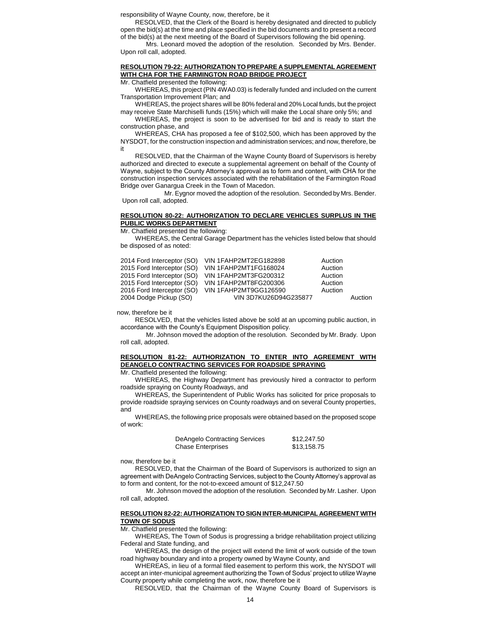responsibility of Wayne County, now, therefore, be it

RESOLVED, that the Clerk of the Board is hereby designated and directed to publicly open the bid(s) at the time and place specified in the bid documents and to present a record of the bid(s) at the next meeting of the Board of Supervisors following the bid opening.

Mrs. Leonard moved the adoption of the resolution. Seconded by Mrs. Bender. Upon roll call, adopted.

### **RESOLUTION 79-22: AUTHORIZATION TO PREPARE A SUPPLEMENTAL AGREEMENT WITH CHA FOR THE FARMINGTON ROAD BRIDGE PROJECT**

Mr. Chatfield presented the following:

WHEREAS, this project (PIN 4WA0.03) is federally funded and included on the current Transportation Improvement Plan; and

WHEREAS, the project shares will be 80% federal and 20% Local funds, but the project may receive State Marchiselli funds (15%) which will make the Local share only 5%; and

WHEREAS, the project is soon to be advertised for bid and is ready to start the construction phase, and

WHEREAS, CHA has proposed a fee of \$102,500, which has been approved by the NYSDOT, for the construction inspection and administration services; and now, therefore, be it

RESOLVED, that the Chairman of the Wayne County Board of Supervisors is hereby authorized and directed to execute a supplemental agreement on behalf of the County of Wayne, subject to the County Attorney's approval as to form and content, with CHA for the construction inspection services associated with the rehabilitation of the Farmington Road Bridge over Ganargua Creek in the Town of Macedon.

Mr. Eygnor moved the adoption of the resolution. Seconded by Mrs. Bender. Upon roll call, adopted.

#### **RESOLUTION 80-22: AUTHORIZATION TO DECLARE VEHICLES SURPLUS IN THE PUBLIC WORKS DEPARTMENT**

Mr. Chatfield presented the following:

WHEREAS, the Central Garage Department has the vehicles listed below that should be disposed of as noted:

| 2014 Ford Interceptor (SO)                               | VIN 1FAHP2MT2EG182898                          | Auction            |         |
|----------------------------------------------------------|------------------------------------------------|--------------------|---------|
| 2015 Ford Interceptor (SO)<br>2015 Ford Interceptor (SO) | VIN 1FAHP2MT1FG168024<br>VIN 1FAHP2MT3FG200312 | Auction<br>Auction |         |
| 2015 Ford Interceptor (SO)                               | <b>VIN 1FAHP2MT8FG200306</b>                   | Auction            |         |
| 2016 Ford Interceptor (SO)<br>2004 Dodge Pickup (SO)     | VIN 1FAHP2MT9GG126590<br>VIN 3D7KU26D94G235877 | Auction            | Auction |
|                                                          |                                                |                    |         |

now, therefore be it

RESOLVED, that the vehicles listed above be sold at an upcoming public auction, in accordance with the County's Equipment Disposition policy.

Mr. Johnson moved the adoption of the resolution. Seconded by Mr. Brady. Upon roll call, adopted.

## **RESOLUTION 81-22: AUTHORIZATION TO ENTER INTO AGREEMENT WITH DEANGELO CONTRACTING SERVICES FOR ROADSIDE SPRAYING**

Mr. Chatfield presented the following:

WHEREAS, the Highway Department has previously hired a contractor to perform roadside spraying on County Roadways, and

WHEREAS, the Superintendent of Public Works has solicited for price proposals to provide roadside spraying services on County roadways and on several County properties, and

WHEREAS, the following price proposals were obtained based on the proposed scope of work:

| <b>DeAngelo Contracting Services</b> | \$12,247.50 |
|--------------------------------------|-------------|
| <b>Chase Enterprises</b>             | \$13,158.75 |

now, therefore be it

RESOLVED, that the Chairman of the Board of Supervisors is authorized to sign an agreement with DeAngelo Contracting Services, subject to the County Attorney's approval as to form and content, for the not-to-exceed amount of \$12,247.50

Mr. Johnson moved the adoption of the resolution. Seconded by Mr. Lasher. Upon roll call, adopted.

## **RESOLUTION 82-22: AUTHORIZATION TO SIGN INTER-MUNICIPAL AGREEMENT WITH TOWN OF SODUS**

Mr. Chatfield presented the following:

WHEREAS, The Town of Sodus is progressing a bridge rehabilitation project utilizing Federal and State funding, and

WHEREAS, the design of the project will extend the limit of work outside of the town road highway boundary and into a property owned by Wayne County, and

WHEREAS, in lieu of a formal filed easement to perform this work, the NYSDOT will accept an inter-municipal agreement authorizing the Town of Sodus' project to utilize Wayne County property while completing the work, now, therefore be it

RESOLVED, that the Chairman of the Wayne County Board of Supervisors is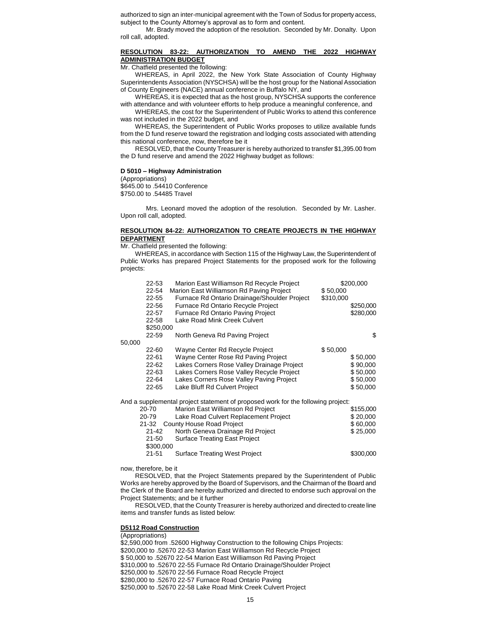authorized to sign an inter-municipal agreement with the Town of Sodus for property access, subject to the County Attorney's approval as to form and content.

Mr. Brady moved the adoption of the resolution. Seconded by Mr. Donalty. Upon roll call, adopted.

### **RESOLUTION 83-22: AUTHORIZATION TO AMEND THE 2022 HIGHWAY ADMINISTRATION BUDGET**

Mr. Chatfield presented the following:

WHEREAS, in April 2022, the New York State Association of County Highway Superintendents Association (NYSCHSA) will be the host group for the National Association of County Engineers (NACE) annual conference in Buffalo NY, and

WHEREAS, it is expected that as the host group, NYSCHSA supports the conference with attendance and with volunteer efforts to help produce a meaningful conference, and

WHEREAS, the cost for the Superintendent of Public Works to attend this conference was not included in the 2022 budget, and

WHEREAS, the Superintendent of Public Works proposes to utilize available funds from the D fund reserve toward the registration and lodging costs associated with attending this national conference, now, therefore be it

RESOLVED, that the County Treasurer is hereby authorized to transfer \$1,395.00 from the D fund reserve and amend the 2022 Highway budget as follows:

#### **D 5010 – Highway Administration**

(Appropriations) \$645.00 to .54410 Conference \$750.00 to .54485 Travel

Mrs. Leonard moved the adoption of the resolution. Seconded by Mr. Lasher. Upon roll call, adopted.

### **RESOLUTION 84-22: AUTHORIZATION TO CREATE PROJECTS IN THE HIGHWAY DEPARTMENT**

Mr. Chatfield presented the following:

WHEREAS, in accordance with Section 115 of the Highway Law, the Superintendent of Public Works has prepared Project Statements for the proposed work for the following projects:

|        | 22-53     | Marion East Williamson Rd Recycle Project                                        |           | \$200,000 |
|--------|-----------|----------------------------------------------------------------------------------|-----------|-----------|
|        | 22-54     | Marion East Williamson Rd Paving Project                                         | \$50,000  |           |
|        | 22-55     | Furnace Rd Ontario Drainage/Shoulder Project                                     | \$310,000 |           |
|        | 22-56     | <b>Furnace Rd Ontario Recycle Project</b>                                        |           | \$250,000 |
|        | 22-57     | Furnace Rd Ontario Paving Project                                                |           | \$280,000 |
|        | 22-58     | Lake Road Mink Creek Culvert                                                     |           |           |
|        | \$250,000 |                                                                                  |           |           |
|        | 22-59     | North Geneva Rd Paving Project                                                   |           | \$        |
| 50,000 |           |                                                                                  |           |           |
|        | 22-60     | Wayne Center Rd Recycle Project                                                  | \$50,000  |           |
|        | 22-61     | Wayne Center Rose Rd Paving Project                                              |           | \$50,000  |
|        | $22 - 62$ | Lakes Corners Rose Valley Drainage Project                                       |           | \$90,000  |
|        | 22-63     | Lakes Corners Rose Valley Recycle Project                                        |           | \$50,000  |
|        | 22-64     | Lakes Corners Rose Valley Paving Project                                         |           | \$50,000  |
|        | 22-65     | Lake Bluff Rd Culvert Project                                                    |           | \$50,000  |
|        |           | And a supplemental project statement of proposed work for the following project: |           |           |
|        | 20-70     | Marion East Williamson Rd Project                                                |           | \$155,000 |
|        | 20-79     | Lake Road Culvert Replacement Project                                            |           | \$20,000  |
|        | 21-32     | County House Road Project                                                        |           | \$60,000  |
|        | 21-42     | North Geneva Drainage Rd Project                                                 |           | \$25,000  |
|        | 21-50     | <b>Surface Treating East Project</b>                                             |           |           |
|        | \$300,000 |                                                                                  |           |           |
|        | $21 - 51$ | <b>Surface Treating West Project</b>                                             |           | \$300,000 |
|        |           |                                                                                  |           |           |

now, therefore, be it

RESOLVED, that the Project Statements prepared by the Superintendent of Public Works are hereby approved by the Board of Supervisors, and the Chairman of the Board and the Clerk of the Board are hereby authorized and directed to endorse such approval on the Project Statements; and be it further

RESOLVED, that the County Treasurer is hereby authorized and directed to create line items and transfer funds as listed below:

#### **D5112 Road Construction**

(Appropriations)

\$2,590,000 from .52600 Highway Construction to the following Chips Projects: \$200,000 to .52670 22-53 Marion East Williamson Rd Recycle Project \$ 50,000 to .52670 22-54 Marion East Williamson Rd Paving Project \$310,000 to .52670 22-55 Furnace Rd Ontario Drainage/Shoulder Project \$250,000 to .52670 22-56 Furnace Road Recycle Project \$280,000 to .52670 22-57 Furnace Road Ontario Paving \$250,000 to .52670 22-58 Lake Road Mink Creek Culvert Project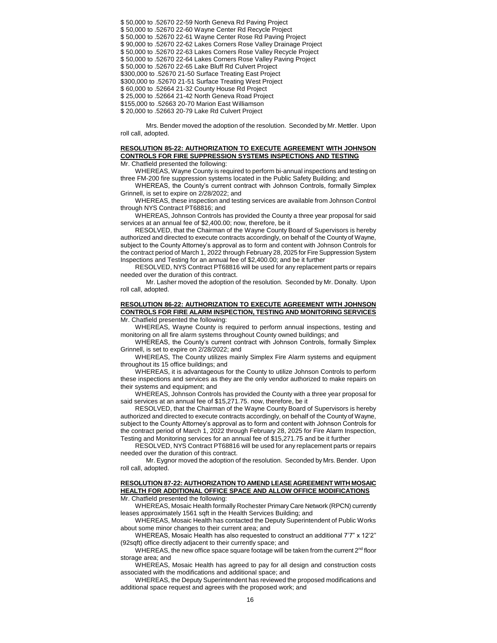\$ 50,000 to .52670 22-59 North Geneva Rd Paving Project \$ 50,000 to .52670 22-60 Wayne Center Rd Recycle Project \$ 50,000 to .52670 22-61 Wayne Center Rose Rd Paving Project \$ 90,000 to .52670 22-62 Lakes Corners Rose Valley Drainage Project \$ 50,000 to .52670 22-63 Lakes Corners Rose Valley Recycle Project \$ 50,000 to .52670 22-64 Lakes Corners Rose Valley Paving Project \$ 50,000 to .52670 22-65 Lake Bluff Rd Culvert Project \$300,000 to .52670 21-50 Surface Treating East Project \$300,000 to .52670 21-51 Surface Treating West Project \$ 60,000 to .52664 21-32 County House Rd Project \$ 25,000 to .52664 21-42 North Geneva Road Project \$155,000 to .52663 20-70 Marion East Williamson \$ 20,000 to .52663 20-79 Lake Rd Culvert Project

Mrs. Bender moved the adoption of the resolution. Seconded by Mr. Mettler. Upon roll call, adopted.

# **RESOLUTION 85-22: AUTHORIZATION TO EXECUTE AGREEMENT WITH JOHNSON CONTROLS FOR FIRE SUPPRESSION SYSTEMS INSPECTIONS AND TESTING**

Mr. Chatfield presented the following:

WHEREAS, Wayne County is required to perform bi-annual inspections and testing on three FM-200 fire suppression systems located in the Public Safety Building; and

WHEREAS, the County's current contract with Johnson Controls, formally Simplex Grinnell, is set to expire on 2/28/2022; and

WHEREAS, these inspection and testing services are available from Johnson Control through NYS Contract PT68816; and

WHEREAS, Johnson Controls has provided the County a three year proposal for said services at an annual fee of \$2,400.00; now, therefore, be it

RESOLVED, that the Chairman of the Wayne County Board of Supervisors is hereby authorized and directed to execute contracts accordingly, on behalf of the County of Wayne, subject to the County Attorney's approval as to form and content with Johnson Controls for the contract period of March 1, 2022 through February 28, 2025 for Fire Suppression System Inspections and Testing for an annual fee of \$2,400.00; and be it further

RESOLVED, NYS Contract PT68816 will be used for any replacement parts or repairs needed over the duration of this contract.

Mr. Lasher moved the adoption of the resolution. Seconded by Mr. Donalty. Upon roll call, adopted.

#### **RESOLUTION 86-22: AUTHORIZATION TO EXECUTE AGREEMENT WITH JOHNSON CONTROLS FOR FIRE ALARM INSPECTION, TESTING AND MONITORING SERVICES** Mr. Chatfield presented the following:

WHEREAS, Wayne County is required to perform annual inspections, testing and monitoring on all fire alarm systems throughout County owned buildings; and

WHEREAS, the County's current contract with Johnson Controls, formally Simplex Grinnell, is set to expire on 2/28/2022; and

WHEREAS, The County utilizes mainly Simplex Fire Alarm systems and equipment throughout its 15 office buildings; and

WHEREAS, it is advantageous for the County to utilize Johnson Controls to perform these inspections and services as they are the only vendor authorized to make repairs on their systems and equipment; and

WHEREAS, Johnson Controls has provided the County with a three year proposal for said services at an annual fee of \$15,271.75. now, therefore, be it

RESOLVED, that the Chairman of the Wayne County Board of Supervisors is hereby authorized and directed to execute contracts accordingly, on behalf of the County of Wayne, subject to the County Attorney's approval as to form and content with Johnson Controls for the contract period of March 1, 2022 through February 28, 2025 for Fire Alarm Inspection, Testing and Monitoring services for an annual fee of \$15,271.75 and be it further

RESOLVED, NYS Contract PT68816 will be used for any replacement parts or repairs needed over the duration of this contract.

Mr. Eygnor moved the adoption of the resolution. Seconded by Mrs. Bender. Upon roll call, adopted.

# **RESOLUTION 87-22: AUTHORIZATION TO AMEND LEASE AGREEMENT WITH MOSAIC HEALTH FOR ADDITIONAL OFFICE SPACE AND ALLOW OFFICE MODIFICATIONS**

Mr. Chatfield presented the following:

WHEREAS, Mosaic Health formally Rochester Primary Care Network (RPCN) currently leases approximately 1561 sqft in the Health Services Building; and

WHEREAS, Mosaic Health has contacted the Deputy Superintendent of Public Works about some minor changes to their current area; and

WHEREAS, Mosaic Health has also requested to construct an additional 7'7" x 12'2" (92sqft) office directly adjacent to their currently space; and

WHEREAS, the new office space square footage will be taken from the current  $2<sup>nd</sup>$  floor storage area; and

WHEREAS, Mosaic Health has agreed to pay for all design and construction costs associated with the modifications and additional space; and

WHEREAS, the Deputy Superintendent has reviewed the proposed modifications and additional space request and agrees with the proposed work; and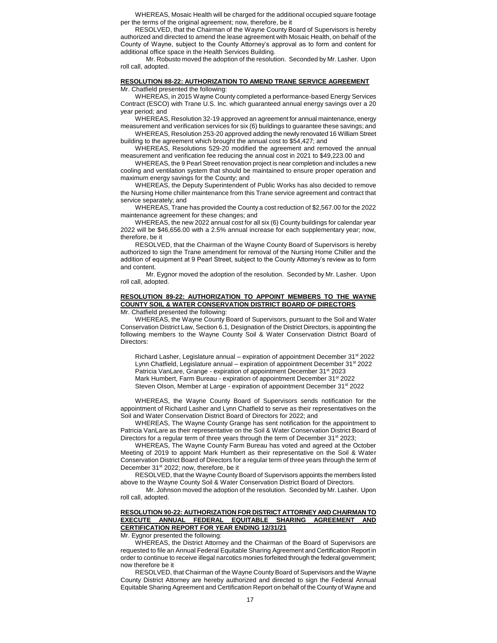WHEREAS, Mosaic Health will be charged for the additional occupied square footage per the terms of the original agreement; now, therefore, be it

RESOLVED, that the Chairman of the Wayne County Board of Supervisors is hereby authorized and directed to amend the lease agreement with Mosaic Health, on behalf of the County of Wayne, subject to the County Attorney's approval as to form and content for additional office space in the Health Services Building.

Mr. Robusto moved the adoption of the resolution. Seconded by Mr. Lasher. Upon roll call, adopted.

#### **RESOLUTION 88-22: AUTHORIZATION TO AMEND TRANE SERVICE AGREEMENT** Mr. Chatfield presented the following:

WHEREAS, in 2015 Wayne County completed a performance-based Energy Services Contract (ESCO) with Trane U.S. Inc. which guaranteed annual energy savings over a 20 year period; and

WHEREAS, Resolution 32-19 approved an agreement for annual maintenance, energy measurement and verification services for six (6) buildings to guarantee these savings; and

WHEREAS, Resolution 253-20 approved adding the newly renovated 16 William Street building to the agreement which brought the annual cost to \$54,427; and

WHEREAS, Resolutions 529-20 modified the agreement and removed the annual measurement and verification fee reducing the annual cost in 2021 to \$49,223.00 and

WHEREAS, the 9 Pearl Street renovation project is near completion and includes a new cooling and ventilation system that should be maintained to ensure proper operation and maximum energy savings for the County; and

WHEREAS, the Deputy Superintendent of Public Works has also decided to remove the Nursing Home chiller maintenance from this Trane service agreement and contract that service separately; and

WHEREAS, Trane has provided the County a cost reduction of \$2,567.00 for the 2022 maintenance agreement for these changes; and

WHEREAS, the new 2022 annual cost for all six (6) County buildings for calendar year 2022 will be \$46,656.00 with a 2.5% annual increase for each supplementary year; now, therefore, be it

RESOLVED, that the Chairman of the Wayne County Board of Supervisors is hereby authorized to sign the Trane amendment for removal of the Nursing Home Chiller and the addition of equipment at 9 Pearl Street, subject to the County Attorney's review as to form and content.

Mr. Eygnor moved the adoption of the resolution. Seconded by Mr. Lasher. Upon roll call, adopted.

# **RESOLUTION 89-22: AUTHORIZATION TO APPOINT MEMBERS TO THE WAYNE COUNTY SOIL & WATER CONSERVATION DISTRICT BOARD OF DIRECTORS**

Mr. Chatfield presented the following:

WHEREAS, the Wayne County Board of Supervisors, pursuant to the Soil and Water Conservation District Law, Section 6.1, Designation of the District Directors, is appointing the following members to the Wayne County Soil & Water Conservation District Board of Directors:

Richard Lasher, Legislature annual – expiration of appointment December 31<sup>st</sup> 2022 Lynn Chatfield, Legislature annual – expiration of appointment December 31<sup>st</sup> 2022 Patricia VanLare, Grange - expiration of appointment December 31st 2023 Mark Humbert, Farm Bureau - expiration of appointment December 31st 2022 Steven Olson, Member at Large - expiration of appointment December 31<sup>st</sup> 2022

WHEREAS, the Wayne County Board of Supervisors sends notification for the appointment of Richard Lasher and Lynn Chatfield to serve as their representatives on the Soil and Water Conservation District Board of Directors for 2022; and

WHEREAS, The Wayne County Grange has sent notification for the appointment to Patricia VanLare as their representative on the Soil & Water Conservation District Board of Directors for a regular term of three years through the term of December 31<sup>st</sup> 2023;

WHEREAS, The Wayne County Farm Bureau has voted and agreed at the October Meeting of 2019 to appoint Mark Humbert as their representative on the Soil & Water Conservation District Board of Directors for a regular term of three years through the term of December 31<sup>st</sup> 2022; now, therefore, be it

RESOLVED, that the Wayne County Board of Supervisors appoints the members listed above to the Wayne County Soil & Water Conservation District Board of Directors.

Mr. Johnson moved the adoption of the resolution. Seconded by Mr. Lasher. Upon roll call, adopted.

# **RESOLUTION 90-22: AUTHORIZATION FOR DISTRICT ATTORNEY AND CHAIRMAN TO EXECUTE ANNUAL FEDERAL EQUITABLE SHARING AGREEMENT AND CERTIFICATION REPORT FOR YEAR ENDING 12/31/21**

Mr. Eygnor presented the following:

WHEREAS, the District Attorney and the Chairman of the Board of Supervisors are requested to file an Annual Federal Equitable Sharing Agreement and Certification Report in order to continue to receive illegal narcotics monies forfeited through the federal government; now therefore be it

RESOLVED, that Chairman of the Wayne County Board of Supervisors and the Wayne County District Attorney are hereby authorized and directed to sign the Federal Annual Equitable Sharing Agreement and Certification Report on behalf of the County of Wayne and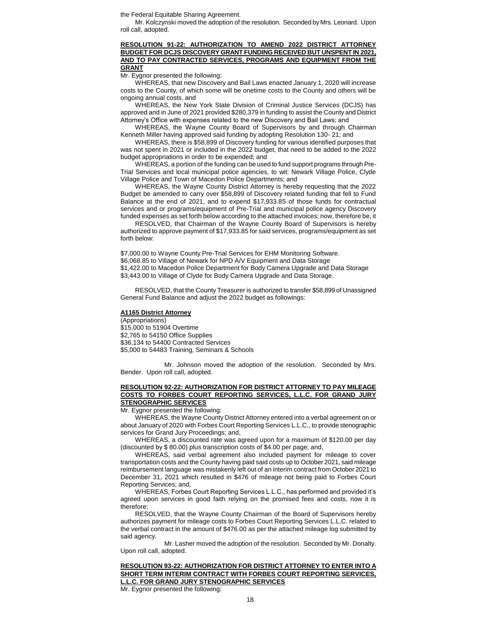the Federal Equitable Sharing Agreement.

Mr. Kolczynski moved the adoption of the resolution. Seconded by Mrs. Leonard. Upon roll call, adopted.

### **RESOLUTION 91-22: AUTHORIZATION TO AMEND 2022 DISTRICT ATTORNEY BUDGET FOR DCJS DISCOVERY GRANT FUNDING RECEIVED BUT UNSPENT IN 2021, AND TO PAY CONTRACTED SERVICES, PROGRAMS AND EQUIPMENT FROM THE GRANT**

Mr. Eygnor presented the following:

WHEREAS, that new Discovery and Bail Laws enacted January 1, 2020 will increase costs to the County, of which some will be onetime costs to the County and others will be ongoing annual costs, and

WHEREAS, the New York State Division of Criminal Justice Services (DCJS) has approved and in June of 2021 provided \$280,379 in funding to assist the County and District Attorney's Office with expenses related to the new Discovery and Bail Laws; and

WHEREAS, the Wayne County Board of Supervisors by and through Chairman Kenneth Miller having approved said funding by adopting Resolution 130- 21; and

WHEREAS, there is \$58,899 of Discovery funding for various identified purposes that was not spent in 2021 or included in the 2022 budget, that need to be added to the 2022 budget appropriations in order to be expended; and

WHEREAS, a portion of the funding can be used to fund support programs through Pre-Trial Services and local municipal police agencies, to wit: Newark Village Police, Clyde Village Police and Town of Macedon Police Departments; and

WHEREAS, the Wayne County District Attorney is hereby requesting that the 2022 Budget be amended to carry over \$58,899 of Discovery related funding that fell to Fund Balance at the end of 2021, and to expend \$17,933.85 of those funds for contractual services and or programs/equipment of Pre-Trial and municipal police agency Discovery funded expenses as set forth below according to the attached invoices; now, therefore be, it

RESOLVED, that Chairman of the Wayne County Board of Supervisors is hereby authorized to approve payment of \$17,933.85 for said services, programs/equipment as set forth below:

\$7,000.00 to Wayne County Pre-Trial Services for EHM Monitoring Software. \$6,068.85 to Village of Newark for NPD A/V Equipment and Data Storage \$1,422.00 to Macedon Police Department for Body Camera Upgrade and Data Storage \$3,443.00 to Village of Clyde for Body Camera Upgrade and Data Storage.

RESOLVED, that the County Treasurer is authorized to transfer \$58,899 of Unassigned General Fund Balance and adjust the 2022 budget as followings:

#### **A1165 District Attorney**

(Appropriations) \$15,000 to 51904 Overtime \$2,765 to 54150 Office Supplies \$36,134 to 54400 Contracted Services \$5,000 to 54483 Training, Seminars & Schools

Mr. Johnson moved the adoption of the resolution. Seconded by Mrs. Bender. Upon roll call, adopted.

### **RESOLUTION 92-22: AUTHORIZATION FOR DISTRICT ATTORNEY TO PAY MILEAGE COSTS TO FORBES COURT REPORTING SERVICES, L.L.C. FOR GRAND JURY STENOGRAPHIC SERVICES**

Mr. Eygnor presented the following:

WHEREAS, the Wayne County District Attorney entered into a verbal agreement on or about January of 2020 with Forbes Court Reporting Services L.L.C., to provide stenographic services for Grand Jury Proceedings; and,

WHEREAS, a discounted rate was agreed upon for a maximum of \$120.00 per day (discounted by \$ 80.00) plus transcription costs of \$4.00 per page; and,

WHEREAS, said verbal agreement also included payment for mileage to cover transportation costs and the County having paid said costs up to October 2021, said mileage reimbursement language was mistakenly left out of an interim contract from October 2021 to December 31, 2021 which resulted in \$476 of mileage not being paid to Forbes Court Reporting Services; and,

WHEREAS, Forbes Court Reporting Services L.L.C., has performed and provided it's agreed upon services in good faith relying on the promised fees and costs, now it is therefore;

RESOLVED, that the Wayne County Chairman of the Board of Supervisors hereby authorizes payment for mileage costs to Forbes Court Reporting Services L.L.C. related to the verbal contract in the amount of \$476.00 as per the attached mileage log submitted by said agency.

Mr. Lasher moved the adoption of the resolution. Seconded by Mr. Donalty. Upon roll call, adopted.

| RESOLUTION 93-22: AUTHORIZATION FOR DISTRICT ATTORNEY TO ENTER INTO A                                                                                                                                                          |
|--------------------------------------------------------------------------------------------------------------------------------------------------------------------------------------------------------------------------------|
| SHORT TERM INTERIM CONTRACT WITH FORBES COURT REPORTING SERVICES.                                                                                                                                                              |
| <b>L.L.C. FOR GRAND JURY STENOGRAPHIC SERVICES</b>                                                                                                                                                                             |
| Marco El Conservación e a conservación de la California de la conservación de la conservación de la conservación de la conservación de la conservación de la conservación de la conservación de la conservación de la conserva |

Mr. Eygnor presented the following: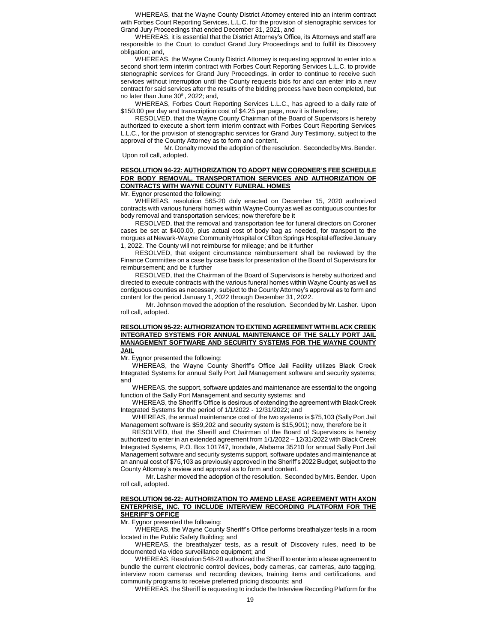WHEREAS, that the Wayne County District Attorney entered into an interim contract with Forbes Court Reporting Services, L.L.C. for the provision of stenographic services for Grand Jury Proceedings that ended December 31, 2021, and

WHEREAS, it is essential that the District Attorney's Office, its Attorneys and staff are responsible to the Court to conduct Grand Jury Proceedings and to fulfill its Discovery obligation; and,

WHEREAS, the Wayne County District Attorney is requesting approval to enter into a second short term interim contract with Forbes Court Reporting Services L.L.C. to provide stenographic services for Grand Jury Proceedings, in order to continue to receive such services without interruption until the County requests bids for and can enter into a new contract for said services after the results of the bidding process have been completed, but no later than June 30<sup>th</sup>, 2022; and,

WHEREAS, Forbes Court Reporting Services L.L.C., has agreed to a daily rate of \$150.00 per day and transcription cost of \$4.25 per page, now it is therefore;

RESOLVED, that the Wayne County Chairman of the Board of Supervisors is hereby authorized to execute a short term interim contract with Forbes Court Reporting Services L.L.C., for the provision of stenographic services for Grand Jury Testimony, subject to the approval of the County Attorney as to form and content.

Mr. Donalty moved the adoption of the resolution. Seconded by Mrs. Bender. Upon roll call, adopted.

### **RESOLUTION 94-22: AUTHORIZATION TO ADOPT NEW CORONER'S FEE SCHEDULE FOR BODY REMOVAL, TRANSPORTATION SERVICES AND AUTHORIZATION OF CONTRACTS WITH WAYNE COUNTY FUNERAL HOMES**

Mr. Eygnor presented the following:

WHEREAS, resolution 565-20 duly enacted on December 15, 2020 authorized contracts with various funeral homes within Wayne County as well as contiguous counties for body removal and transportation services; now therefore be it

RESOLVED, that the removal and transportation fee for funeral directors on Coroner cases be set at \$400.00, plus actual cost of body bag as needed, for transport to the morgues at Newark-Wayne Community Hospital or Clifton Springs Hospital effective January 1, 2022. The County will not reimburse for mileage; and be it further

RESOLVED, that exigent circumstance reimbursement shall be reviewed by the Finance Committee on a case by case basis for presentation of the Board of Supervisors for reimbursement; and be it further

RESOLVED, that the Chairman of the Board of Supervisors is hereby authorized and directed to execute contracts with the various funeral homes within Wayne County as well as contiguous counties as necessary, subject to the County Attorney's approval as to form and content for the period January 1, 2022 through December 31, 2022.

Mr. Johnson moved the adoption of the resolution. Seconded by Mr. Lasher. Upon roll call, adopted.

### **RESOLUTION 95-22: AUTHORIZATION TO EXTEND AGREEMENT WITH BLACK CREEK INTEGRATED SYSTEMS FOR ANNUAL MAINTENANCE OF THE SALLY PORT JAIL MANAGEMENT SOFTWARE AND SECURITY SYSTEMS FOR THE WAYNE COUNTY JAIL**

Mr. Eygnor presented the following:

WHEREAS, the Wayne County Sheriff's Office Jail Facility utilizes Black Creek Integrated Systems for annual Sally Port Jail Management software and security systems; and

WHEREAS, the support, software updates and maintenance are essential to the ongoing function of the Sally Port Management and security systems; and

WHEREAS, the Sheriff's Office is desirous of extending the agreement with Black Creek Integrated Systems for the period of 1/1/2022 - 12/31/2022; and

WHEREAS, the annual maintenance cost of the two systems is \$75,103 (Sally Port Jail Management software is \$59,202 and security system is \$15,901); now, therefore be it

RESOLVED, that the Sheriff and Chairman of the Board of Supervisors is hereby authorized to enter in an extended agreement from 1/1/2022 – 12/31/2022 with Black Creek Integrated Systems, P.O. Box 101747, Irondale, Alabama 35210 for annual Sally Port Jail Management software and security systems support, software updates and maintenance at an annual cost of \$75,103 as previously approved in the Sheriff's 2022 Budget, subject to the County Attorney's review and approval as to form and content.

Mr. Lasher moved the adoption of the resolution. Seconded by Mrs. Bender. Upon roll call, adopted.

### **RESOLUTION 96-22: AUTHORIZATION TO AMEND LEASE AGREEMENT WITH AXON ENTERPRISE, INC. TO INCLUDE INTERVIEW RECORDING PLATFORM FOR THE SHERIFF'S OFFICE**

Mr. Eygnor presented the following:

WHEREAS, the Wayne County Sheriff's Office performs breathalyzer tests in a room located in the Public Safety Building; and

WHEREAS, the breathalyzer tests, as a result of Discovery rules, need to be documented via video surveillance equipment; and

WHEREAS, Resolution 548-20 authorized the Sheriff to enter into a lease agreement to bundle the current electronic control devices, body cameras, car cameras, auto tagging, interview room cameras and recording devices, training items and certifications, and community programs to receive preferred pricing discounts; and

WHEREAS, the Sheriff is requesting to include the Interview Recording Platform for the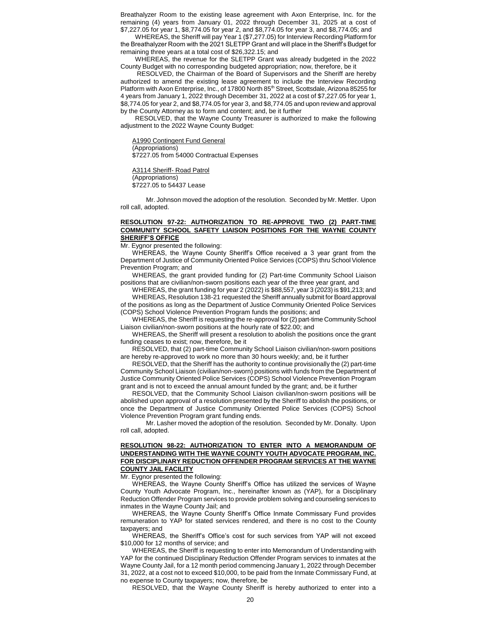Breathalyzer Room to the existing lease agreement with Axon Enterprise, Inc. for the remaining (4) years from January 01, 2022 through December 31, 2025 at a cost of \$7,227.05 for year 1, \$8,774.05 for year 2, and \$8,774.05 for year 3, and \$8,774.05; and

WHEREAS, the Sheriff will pay Year 1 (\$7,277.05) for Interview Recording Platform for the Breathalyzer Room with the 2021 SLETPP Grant and will place in the Sheriff's Budget for remaining three years at a total cost of \$26,322.15; and

WHEREAS, the revenue for the SLETPP Grant was already budgeted in the 2022 County Budget with no corresponding budgeted appropriation; now, therefore, be it

RESOLVED, the Chairman of the Board of Supervisors and the Sheriff are hereby authorized to amend the existing lease agreement to include the Interview Recording Platform with Axon Enterprise, Inc., of 17800 North 85<sup>th</sup> Street, Scottsdale, Arizona 85255 for 4 years from January 1, 2022 through December 31, 2022 at a cost of \$7,227.05 for year 1, \$8,774.05 for year 2, and \$8,774.05 for year 3, and \$8,774.05 and upon review and approval by the County Attorney as to form and content; and, be it further

RESOLVED, that the Wayne County Treasurer is authorized to make the following adjustment to the 2022 Wayne County Budget:

A1990 Contingent Fund General (Appropriations) \$7227.05 from 54000 Contractual Expenses

A3114 Sheriff- Road Patrol (Appropriations) \$7227.05 to 54437 Lease

Mr. Johnson moved the adoption of the resolution. Seconded by Mr. Mettler. Upon roll call, adopted.

### **RESOLUTION 97-22: AUTHORIZATION TO RE-APPROVE TWO (2) PART-TIME COMMUNITY SCHOOL SAFETY LIAISON POSITIONS FOR THE WAYNE COUNTY SHERIFF'S OFFICE**

Mr. Eygnor presented the following:

WHEREAS, the Wayne County Sheriff's Office received a 3 year grant from the Department of Justice of Community Oriented Police Services (COPS) thru School Violence Prevention Program; and

WHEREAS, the grant provided funding for (2) Part-time Community School Liaison positions that are civilian/non-sworn positions each year of the three year grant, and

WHEREAS, the grant funding for year 2 (2022) is \$88,557, year 3 (2023) is \$91,213; and WHEREAS, Resolution 138-21 requested the Sheriff annually submit for Board approval of the positions as long as the Department of Justice Community Oriented Police Services (COPS) School Violence Prevention Program funds the positions; and

WHEREAS, the Sheriff is requesting the re-approval for (2) part-time Community School Liaison civilian/non-sworn positions at the hourly rate of \$22.00; and

WHEREAS, the Sheriff will present a resolution to abolish the positions once the grant funding ceases to exist; now, therefore, be it

RESOLVED, that (2) part-time Community School Liaison civilian/non-sworn positions are hereby re-approved to work no more than 30 hours weekly; and, be it further

RESOLVED, that the Sheriff has the authority to continue provisionally the (2) part-time Community School Liaison (civilian/non-sworn) positions with funds from the Department of Justice Community Oriented Police Services (COPS) School Violence Prevention Program grant and is not to exceed the annual amount funded by the grant; and, be it further

RESOLVED, that the Community School Liaison civilian/non-sworn positions will be abolished upon approval of a resolution presented by the Sheriff to abolish the positions, or once the Department of Justice Community Oriented Police Services (COPS) School Violence Prevention Program grant funding ends.

Mr. Lasher moved the adoption of the resolution. Seconded by Mr. Donalty. Upon roll call, adopted.

### **RESOLUTION 98-22: AUTHORIZATION TO ENTER INTO A MEMORANDUM OF UNDERSTANDING WITH THE WAYNE COUNTY YOUTH ADVOCATE PROGRAM, INC. FOR DISCIPLINARY REDUCTION OFFENDER PROGRAM SERVICES AT THE WAYNE COUNTY JAIL FACILITY**

Mr. Eygnor presented the following:

WHEREAS, the Wayne County Sheriff's Office has utilized the services of Wayne County Youth Advocate Program, Inc., hereinafter known as (YAP), for a Disciplinary Reduction Offender Program services to provide problem solving and counseling services to inmates in the Wayne County Jail; and

WHEREAS, the Wayne County Sheriff's Office Inmate Commissary Fund provides remuneration to YAP for stated services rendered, and there is no cost to the County taxpayers; and

WHEREAS, the Sheriff's Office's cost for such services from YAP will not exceed \$10,000 for 12 months of service; and

WHEREAS, the Sheriff is requesting to enter into Memorandum of Understanding with YAP for the continued Disciplinary Reduction Offender Program services to inmates at the Wayne County Jail, for a 12 month period commencing January 1, 2022 through December 31, 2022, at a cost not to exceed \$10,000, to be paid from the Inmate Commissary Fund, at no expense to County taxpayers; now, therefore, be

RESOLVED, that the Wayne County Sheriff is hereby authorized to enter into a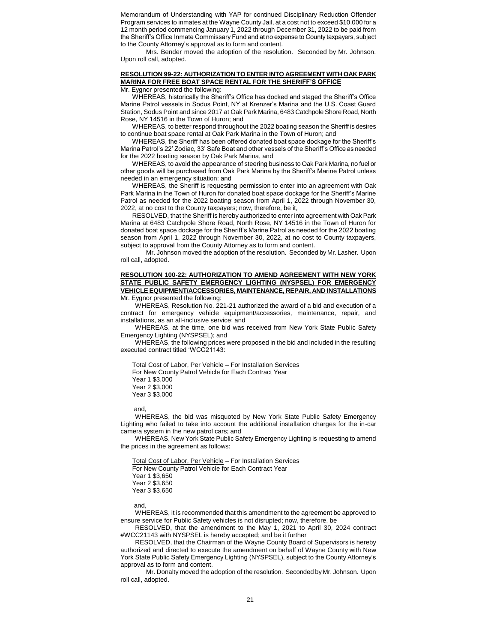Memorandum of Understanding with YAP for continued Disciplinary Reduction Offender Program services to inmates at the Wayne County Jail, at a cost not to exceed \$10,000 for a 12 month period commencing January 1, 2022 through December 31, 2022 to be paid from the Sheriff's Office Inmate Commissary Fund and at no expense to County taxpayers, subject to the County Attorney's approval as to form and content.

Mrs. Bender moved the adoption of the resolution. Seconded by Mr. Johnson. Upon roll call, adopted.

# **RESOLUTION 99-22: AUTHORIZATION TO ENTER INTO AGREEMENT WITH OAK PARK MARINA FOR FREE BOAT SPACE RENTAL FOR THE SHERIFF'S OFFICE**

Mr. Eygnor presented the following:

WHEREAS, historically the Sheriff's Office has docked and staged the Sheriff's Office Marine Patrol vessels in Sodus Point, NY at Krenzer's Marina and the U.S. Coast Guard Station, Sodus Point and since 2017 at Oak Park Marina, 6483 Catchpole Shore Road, North Rose, NY 14516 in the Town of Huron; and

WHEREAS, to better respond throughout the 2022 boating season the Sheriff is desires to continue boat space rental at Oak Park Marina in the Town of Huron; and

WHEREAS, the Sheriff has been offered donated boat space dockage for the Sheriff's Marina Patrol's 22' Zodiac, 33' Safe Boat and other vessels of the Sheriff's Office as needed for the 2022 boating season by Oak Park Marina, and

WHEREAS, to avoid the appearance of steering business to Oak Park Marina, no fuel or other goods will be purchased from Oak Park Marina by the Sheriff's Marine Patrol unless needed in an emergency situation: and

WHEREAS, the Sheriff is requesting permission to enter into an agreement with Oak Park Marina in the Town of Huron for donated boat space dockage for the Sheriff's Marine Patrol as needed for the 2022 boating season from April 1, 2022 through November 30, 2022, at no cost to the County taxpayers; now, therefore, be it,

RESOLVED, that the Sheriff is hereby authorized to enter into agreement with Oak Park Marina at 6483 Catchpole Shore Road, North Rose, NY 14516 in the Town of Huron for donated boat space dockage for the Sheriff's Marine Patrol as needed for the 2022 boating season from April 1, 2022 through November 30, 2022, at no cost to County taxpayers, subject to approval from the County Attorney as to form and content.

Mr. Johnson moved the adoption of the resolution. Seconded by Mr. Lasher. Upon roll call, adopted.

### **RESOLUTION 100-22: AUTHORIZATION TO AMEND AGREEMENT WITH NEW YORK STATE PUBLIC SAFETY EMERGENCY LIGHTING (NYSPSEL) FOR EMERGENCY VEHICLE EQUIPMENT/ACCESSORIES, MAINTENANCE, REPAIR, AND INSTALLATIONS** Mr. Eygnor presented the following:

WHEREAS, Resolution No. 221-21 authorized the award of a bid and execution of a contract for emergency vehicle equipment/accessories, maintenance, repair, and installations, as an all-inclusive service; and

WHEREAS, at the time, one bid was received from New York State Public Safety Emergency Lighting (NYSPSEL); and

WHEREAS, the following prices were proposed in the bid and included in the resulting executed contract titled 'WCC21143:

Total Cost of Labor, Per Vehicle – For Installation Services For New County Patrol Vehicle for Each Contract Year Year 1 \$3,000 Year 2 \$3,000 Year 3 \$3,000

and,

WHEREAS, the bid was misquoted by New York State Public Safety Emergency Lighting who failed to take into account the additional installation charges for the in-car camera system in the new patrol cars; and

WHEREAS, New York State Public Safety Emergency Lighting is requesting to amend the prices in the agreement as follows:

Total Cost of Labor, Per Vehicle – For Installation Services For New County Patrol Vehicle for Each Contract Year Year 1 \$3,650 Year 2 \$3,650 Year 3 \$3,650

and,

WHEREAS, it is recommended that this amendment to the agreement be approved to ensure service for Public Safety vehicles is not disrupted; now, therefore, be

RESOLVED, that the amendment to the May 1, 2021 to April 30, 2024 contract #WCC21143 with NYSPSEL is hereby accepted; and be it further

RESOLVED, that the Chairman of the Wayne County Board of Supervisors is hereby authorized and directed to execute the amendment on behalf of Wayne County with New York State Public Safety Emergency Lighting (NYSPSEL), subject to the County Attorney's approval as to form and content.

Mr. Donalty moved the adoption of the resolution. Seconded by Mr. Johnson. Upon roll call, adopted.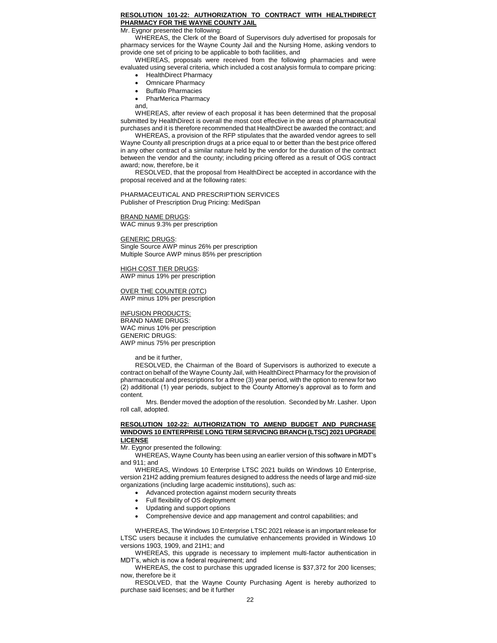### **RESOLUTION 101-22: AUTHORIZATION TO CONTRACT WITH HEALTHDIRECT PHARMACY FOR THE WAYNE COUNTY JAIL**

Mr. Eygnor presented the following:

WHEREAS, the Clerk of the Board of Supervisors duly advertised for proposals for pharmacy services for the Wayne County Jail and the Nursing Home, asking vendors to provide one set of pricing to be applicable to both facilities, and

WHEREAS, proposals were received from the following pharmacies and were evaluated using several criteria, which included a cost analysis formula to compare pricing:

- HealthDirect Pharmacy
- Omnicare Pharmacy
- Buffalo Pharmacies
- PharMerica Pharmacy
- and,

WHEREAS, after review of each proposal it has been determined that the proposal submitted by HealthDirect is overall the most cost effective in the areas of pharmaceutical purchases and it is therefore recommended that HealthDirect be awarded the contract; and

WHEREAS, a provision of the RFP stipulates that the awarded vendor agrees to sell Wayne County all prescription drugs at a price equal to or better than the best price offered in any other contract of a similar nature held by the vendor for the duration of the contract between the vendor and the county; including pricing offered as a result of OGS contract award; now, therefore, be it

RESOLVED, that the proposal from HealthDirect be accepted in accordance with the proposal received and at the following rates:

PHARMACEUTICAL AND PRESCRIPTION SERVICES Publisher of Prescription Drug Pricing: MediSpan

## **BRAND NAME DRUGS:**

WAC minus 9.3% per prescription

# **GENERIC DRUGS**

Single Source AWP minus 26% per prescription Multiple Source AWP minus 85% per prescription

HIGH COST TIER DRUGS: AWP minus 19% per prescription

OVER THE COUNTER (OTC) AWP minus 10% per prescription

### INFUSION PRODUCTS:

BRAND NAME DRUGS: WAC minus 10% per prescription GENERIC DRUGS: AWP minus 75% per prescription

and be it further,

RESOLVED, the Chairman of the Board of Supervisors is authorized to execute a contract on behalf of the Wayne County Jail, with HealthDirect Pharmacy for the provision of pharmaceutical and prescriptions for a three (3) year period, with the option to renew for two (2) additional (1) year periods, subject to the County Attorney's approval as to form and content.

Mrs. Bender moved the adoption of the resolution. Seconded by Mr. Lasher. Upon roll call, adopted.

#### **RESOLUTION 102-22: AUTHORIZATION TO AMEND BUDGET AND PURCHASE WINDOWS 10 ENTERPRISE LONG TERM SERVICING BRANCH (LTSC) 2021 UPGRADE LICENSE**

Mr. Eygnor presented the following:

WHEREAS, Wayne County has been using an earlier version of this software in MDT's and 911; and

WHEREAS, Windows 10 Enterprise LTSC 2021 builds on Windows 10 Enterprise, version 21H2 adding premium features designed to address the needs of large and mid-size organizations (including large academic institutions), such as:

- Advanced protection against modern security threats
- Full flexibility of OS deployment
- Updating and support options
- Comprehensive device and app management and control capabilities; and

WHEREAS, The Windows 10 Enterprise LTSC 2021 release is an important release for LTSC users because it includes the cumulative enhancements provided in Windows 10 versions 1903, 1909, and 21H1; and

WHEREAS, this upgrade is necessary to implement multi-factor authentication in MDT's, which is now a federal requirement; and

WHEREAS, the cost to purchase this upgraded license is \$37,372 for 200 licenses; now, therefore be it

RESOLVED, that the Wayne County Purchasing Agent is hereby authorized to purchase said licenses; and be it further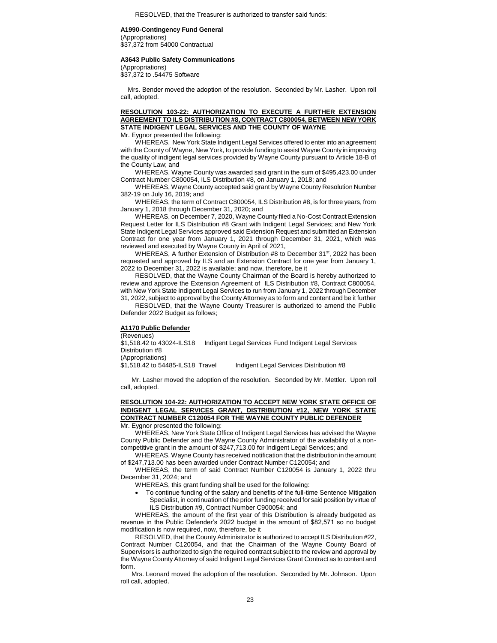# **A1990-Contingency Fund General**

(Appropriations) \$37,372 from 54000 Contractual

#### **A3643 Public Safety Communications**

(Appropriations) \$37,372 to .54475 Software

Mrs. Bender moved the adoption of the resolution. Seconded by Mr. Lasher. Upon roll call, adopted.

## **RESOLUTION 103-22: AUTHORIZATION TO EXECUTE A FURTHER EXTENSION AGREEMENT TO ILS DISTRIBUTION #8, CONTRACT C800054, BETWEEN NEW YORK STATE INDIGENT LEGAL SERVICES AND THE COUNTY OF WAYNE**

Mr. Eygnor presented the following:

WHEREAS, New York State Indigent Legal Services offered to enter into an agreement with the County of Wayne, New York, to provide funding to assist Wayne County in improving the quality of indigent legal services provided by Wayne County pursuant to Article 18-B of the County Law; and

WHEREAS, Wayne County was awarded said grant in the sum of \$495,423.00 under Contract Number C800054, ILS Distribution #8, on January 1, 2018; and

WHEREAS, Wayne County accepted said grant by Wayne County Resolution Number 382-19 on July 16, 2019; and

WHEREAS, the term of Contract C800054, ILS Distribution #8, is for three years, from January 1, 2018 through December 31, 2020; and

WHEREAS, on December 7, 2020, Wayne County filed a No-Cost Contract Extension Request Letter for ILS Distribution #8 Grant with Indigent Legal Services; and New York State Indigent Legal Services approved said Extension Request and submitted an Extension Contract for one year from January 1, 2021 through December 31, 2021, which was reviewed and executed by Wayne County in April of 2021,

WHEREAS, A further Extension of Distribution  $#8$  to December 31 $st$ , 2022 has been requested and approved by ILS and an Extension Contract for one year from January 1, 2022 to December 31, 2022 is available; and now, therefore, be it

RESOLVED, that the Wayne County Chairman of the Board is hereby authorized to review and approve the Extension Agreement of ILS Distribution #8, Contract C800054, with New York State Indigent Legal Services to run from January 1, 2022 through December 31, 2022, subject to approval by the County Attorney as to form and content and be it further

RESOLVED, that the Wayne County Treasurer is authorized to amend the Public Defender 2022 Budget as follows;

# **A1170 Public Defender**

(Revenues) \$1,518.42 to 43024-ILS18 Indigent Legal Services Fund Indigent Legal Services Distribution #8 (Appropriations)<br>\$1,518.42 to 54485-ILS18 Travel Indigent Legal Services Distribution #8

Mr. Lasher moved the adoption of the resolution. Seconded by Mr. Mettler. Upon roll call, adopted.

# **RESOLUTION 104-22: AUTHORIZATION TO ACCEPT NEW YORK STATE OFFICE OF INDIGENT LEGAL SERVICES GRANT, DISTRIBUTION #12, NEW YORK STATE CONTRACT NUMBER C120054 FOR THE WAYNE COUNTY PUBLIC DEFENDER**

Mr. Eygnor presented the following:

WHEREAS, New York State Office of Indigent Legal Services has advised the Wayne County Public Defender and the Wayne County Administrator of the availability of a noncompetitive grant in the amount of \$247,713.00 for Indigent Legal Services; and

WHEREAS, Wayne County has received notification that the distribution in the amount of \$247,713.00 has been awarded under Contract Number C120054; and

WHEREAS, the term of said Contract Number C120054 is January 1, 2022 thru December 31, 2024; and

WHEREAS, this grant funding shall be used for the following:

 To continue funding of the salary and benefits of the full-time Sentence Mitigation Specialist, in continuation of the prior funding received for said position by virtue of ILS Distribution #9, Contract Number C900054; and

WHEREAS, the amount of the first year of this Distribution is already budgeted as revenue in the Public Defender's 2022 budget in the amount of \$82,571 so no budget modification is now required, now, therefore, be it

RESOLVED, that the County Administrator is authorized to accept ILS Distribution #22, Contract Number C120054, and that the Chairman of the Wayne County Board of Supervisors is authorized to sign the required contract subject to the review and approval by the Wayne County Attorney of said Indigent Legal Services Grant Contract as to content and form.

Mrs. Leonard moved the adoption of the resolution. Seconded by Mr. Johnson. Upon roll call, adopted.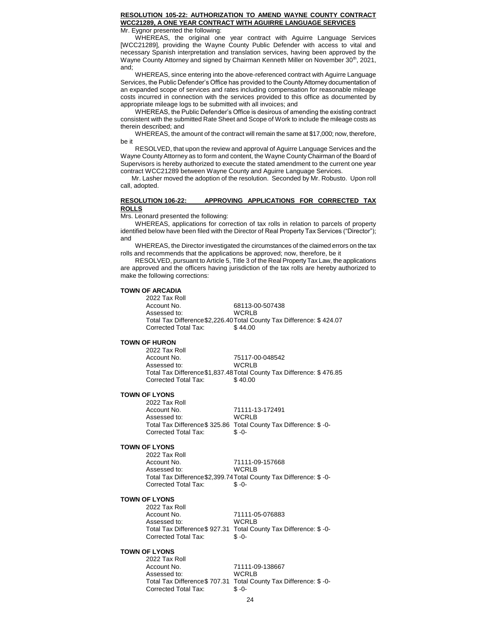# **RESOLUTION 105-22: AUTHORIZATION TO AMEND WAYNE COUNTY CONTRACT WCC21289, A ONE YEAR CONTRACT WITH AGUIRRE LANGUAGE SERVICES**

Mr. Eygnor presented the following:

WHEREAS, the original one year contract with Aguirre Language Services [WCC21289], providing the Wayne County Public Defender with access to vital and necessary Spanish interpretation and translation services, having been approved by the Wayne County Attorney and signed by Chairman Kenneth Miller on November 30<sup>th</sup>, 2021, and;

WHEREAS, since entering into the above-referenced contract with Aguirre Language Services, the Public Defender's Office has provided to the County Attorney documentation of an expanded scope of services and rates including compensation for reasonable mileage costs incurred in connection with the services provided to this office as documented by appropriate mileage logs to be submitted with all invoices; and

WHEREAS, the Public Defender's Office is desirous of amending the existing contract consistent with the submitted Rate Sheet and Scope of Work to include the mileage costs as therein described; and

WHEREAS, the amount of the contract will remain the same at \$17,000; now, therefore, be it

RESOLVED, that upon the review and approval of Aguirre Language Services and the Wayne County Attorney as to form and content, the Wayne County Chairman of the Board of Supervisors is hereby authorized to execute the stated amendment to the current one year contract WCC21289 between Wayne County and Aguirre Language Services.

Mr. Lasher moved the adoption of the resolution. Seconded by Mr. Robusto. Upon roll call, adopted.

### **RESOLUTION 106-22: APPROVING APPLICATIONS FOR CORRECTED TAX ROLLS**

Mrs. Leonard presented the following:

WHEREAS, applications for correction of tax rolls in relation to parcels of property identified below have been filed with the Director of Real Property Tax Services ("Director"); and

WHEREAS, the Director investigated the circumstances of the claimed errors on the tax rolls and recommends that the applications be approved; now, therefore, be it

RESOLVED, pursuant to Article 5, Title 3 of the Real Property Tax Law, the applications are approved and the officers having jurisdiction of the tax rolls are hereby authorized to make the following corrections:

## **TOWN OF ARCADIA**

2022 Tax Roll Account No. 68113-00-507438 Assessed to: WCRLB Total Tax Difference\$2,226.40Total County Tax Difference: \$ 424.07 Corrected Total Tax: \$ 44.00

#### **TOWN OF HURON**

2022 Tax Roll 75117-00-048542<br>WCRLB Assessed to: Total Tax Difference\$1,837.48Total County Tax Difference: \$ 476.85 Corrected Total Tax: \$ 40.00

#### **TOWN OF LYONS**

| 2022 Tax Roll        |                                                                   |
|----------------------|-------------------------------------------------------------------|
| Account No.          | 71111-13-172491                                                   |
| Assessed to:         | WCRI B                                                            |
|                      | Total Tax Difference\$ 325.86 Total County Tax Difference: \$ -0- |
| Corrected Total Tax: | $$ -0-$                                                           |

### **TOWN OF LYONS**

2022 Tax Roll Account No. 71111-09-157668 Assessed to: WCRLB Total Tax Difference\$2,399.74Total County Tax Difference: \$ -0- Corrected Total Tax: \$ -0-

### **TOWN OF LYONS**

2022 Tax Roll Account No. 71111-05-076883 Assessed to: WCRLB Total Tax Difference\$ 927.31 Total County Tax Difference: \$ -0- Corrected Total Tax: \$ -0-

### **TOWN OF LYONS**

2022 Tax Roll<br>Account No 71111-09-138667 Assessed to: WCRLB Total Tax Difference\$ 707.31 Total County Tax Difference: \$ -0- Corrected Total Tax: \$ -0-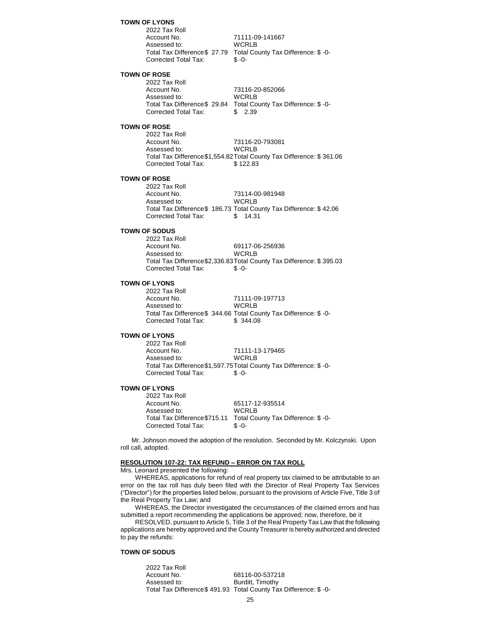**TOWN OF LYONS** 2022 Tax Roll Account No. 71111-09-141667<br>Assessed to: WCRLB Assessed to: Total Tax Difference\$ 27.79 Total County Tax Difference: \$ -0- Corrected Total Tax: \$ -0- **TOWN OF ROSE** 2022 Tax Roll Account No. 73116-20-852066 Assessed to: WCRLB Total Tax Difference\$ 29.84 Total County Tax Difference: \$ -0- Corrected Total Tax: \$ 2.39 **TOWN OF ROSE** 2022 Tax Roll Account No. 73116-20-793081 Assessed to: WCRLB Total Tax Difference\$1,554.82Total County Tax Difference: \$ 361.06 Corrected Total Tax: \$ 122.83 **TOWN OF ROSE** 2022 Tax Roll<br>Account No. 73114-00-981948<br>WCRLB Assessed to: Total Tax Difference\$ 186.73 Total County Tax Difference: \$ 42.06 Corrected Total Tax: \$ 14.31 **TOWN OF SODUS** 2022 Tax Roll 69117-06-256936<br>WCRLB Assessed to: Total Tax Difference\$2,336.83Total County Tax Difference: \$ 395.03 Corrected Total Tax: \$ -0- **TOWN OF LYONS** 2022 Tax Roll Account No. 71111-09-197713 Assessed to: WCRLB Total Tax Difference\$ 344.66 Total County Tax Difference: \$ -0- Corrected Total Tax: \$ 344.08 **TOWN OF LYONS** 2022 Tax Roll Account No. 21111-13-179465 Assessed to: WCRLB Total Tax Difference\$1,597.75Total County Tax Difference: \$ -0- Corrected Total Tax: \$ -0- **TOWN OF LYONS** 2022 Tax Roll 65117-12-935514<br>WCRLB Assessed to: Total Tax Difference\$715.11 Total County Tax Difference: \$ -0- Corrected Total Tax: \$ -0- Mr. Johnson moved the adoption of the resolution. Seconded by Mr. Kolczynski. Upon roll call, adopted. **RESOLUTION 107-22: TAX REFUND – ERROR ON TAX ROLL** Mrs. Leonard presented the following: WHEREAS, applications for refund of real property tax claimed to be attributable to an error on the tax roll has duly been filed with the Director of Real Property Tax Services ("Director") for the properties listed below, pursuant to the provisions of Article Five, Title 3 of the Real Property Tax Law; and

WHEREAS, the Director investigated the circumstances of the claimed errors and has submitted a report recommending the applications be approved; now, therefore, be it

RESOLVED, pursuant to Article 5, Title 3 of the Real Property Tax Law that the following applications are hereby approved and the County Treasurer is hereby authorized and directed to pay the refunds:

# **TOWN OF SODUS**

2022 Tax Roll 68116-00-537218 Assessed to: Burditt, Timothy Total Tax Difference\$ 491.93 Total County Tax Difference: \$ -0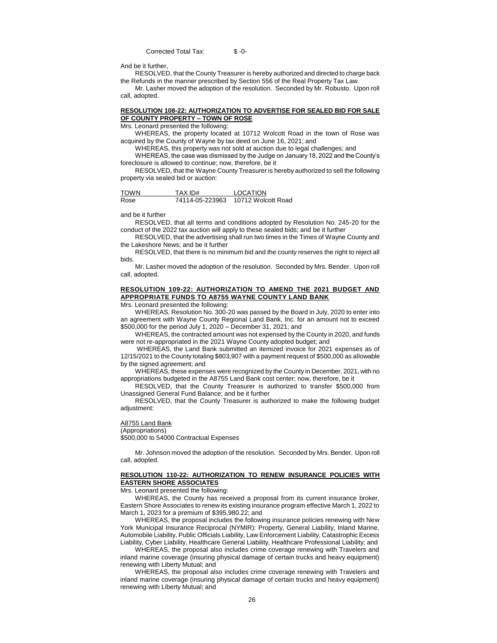Corrected Total Tax: \$ -0-

And be it further,

RESOLVED, that the County Treasurer is hereby authorized and directed to charge back the Refunds in the manner prescribed by Section 556 of the Real Property Tax Law.

Mr. Lasher moved the adoption of the resolution. Seconded by Mr. Robusto. Upon roll call, adopted.

### **RESOLUTION 108-22: AUTHORIZATION TO ADVERTISE FOR SEALED BID FOR SALE OF COUNTY PROPERTY – TOWN OF ROSE**

Mrs. Leonard presented the following:

WHEREAS, the property located at 10712 Wolcott Road in the town of Rose was acquired by the County of Wayne by tax deed on June 16, 2021; and

WHEREAS, this property was not sold at auction due to legal challenges; and

WHEREAS, the case was dismissed by the Judge on January 18, 2022 and the County's foreclosure is allowed to continue; now, therefore, be it

RESOLVED, that the Wayne County Treasurer is hereby authorized to sell the following property via sealed bid or auction:

| <b>TOWN</b> | TAX ID#         | LOCATION           |
|-------------|-----------------|--------------------|
| Rose        | 74114-05-223963 | 10712 Wolcott Road |

and be it further

RESOLVED, that all terms and conditions adopted by Resolution No. 245-20 for the conduct of the 2022 tax auction will apply to these sealed bids; and be it further

RESOLVED, that the advertising shall run two times in the Times of Wayne County and the Lakeshore News; and be it further

RESOLVED, that there is no minimum bid and the county reserves the right to reject all bids.

Mr. Lasher moved the adoption of the resolution. Seconded by Mrs. Bender. Upon roll call, adopted.

### **RESOLUTION 109-22: AUTHORIZATION TO AMEND THE 2021 BUDGET AND APPROPRIATE FUNDS TO A8755 WAYNE COUNTY LAND BANK**

Mrs. Leonard presented the following:

WHEREAS, Resolution No. 300-20 was passed by the Board in July, 2020 to enter into an agreement with Wayne County Regional Land Bank, Inc. for an amount not to exceed \$500,000 for the period July 1, 2020 – December 31, 2021; and

WHEREAS, the contracted amount was not expensed by the County in 2020, and funds were not re-appropriated in the 2021 Wayne County adopted budget; and

WHEREAS, the Land Bank submitted an itemized invoice for 2021 expenses as of 12/15/2021 to the County totaling \$803,907 with a payment request of \$500,000 as allowable by the signed agreement; and

WHEREAS, these expenses were recognized by the County in December, 2021, with no appropriations budgeted in the A8755 Land Bank cost center; now, therefore, be it

RESOLVED, that the County Treasurer is authorized to transfer \$500,000 from Unassigned General Fund Balance; and be it further

RESOLVED, that the County Treasurer is authorized to make the following budget adjustment:

### A8755 Land Bank

(Appropriations) \$500,000 to 54000 Contractual Expenses

Mr. Johnson moved the adoption of the resolution. Seconded by Mrs. Bender. Upon roll call, adopted.

### **RESOLUTION 110-22: AUTHORIZATION TO RENEW INSURANCE POLICIES WITH EASTERN SHORE ASSOCIATES**

Mrs. Leonard presented the following:

WHEREAS, the County has received a proposal from its current insurance broker, Eastern Shore Associates to renew its existing insurance program effective March 1, 2022 to March 1, 2023 for a premium of \$395,980.22; and

WHEREAS, the proposal includes the following insurance policies renewing with New York Municipal Insurance Reciprocal (NYMIR): Property, General Liability, Inland Marine, Automobile Liability, Public Officials Liability, Law Enforcement Liability, Catastrophic Excess Liability, Cyber Liability, Healthcare General Liability, Healthcare Professional Liability; and

WHEREAS, the proposal also includes crime coverage renewing with Travelers and inland marine coverage (insuring physical damage of certain trucks and heavy equipment) renewing with Liberty Mutual; and

WHEREAS, the proposal also includes crime coverage renewing with Travelers and inland marine coverage (insuring physical damage of certain trucks and heavy equipment) renewing with Liberty Mutual; and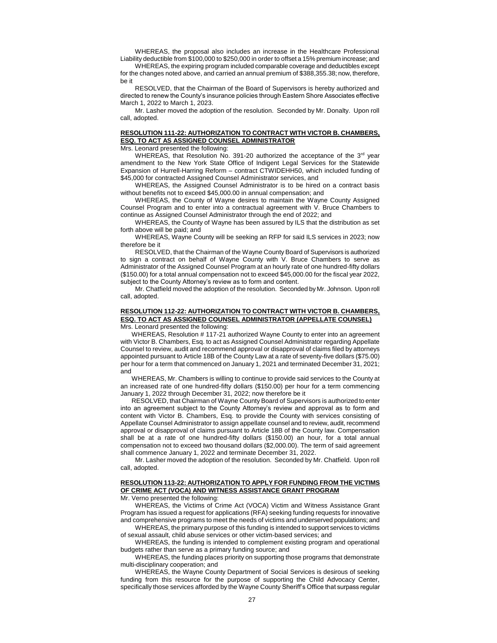WHEREAS, the proposal also includes an increase in the Healthcare Professional Liability deductible from \$100,000 to \$250,000 in order to offset a 15% premium increase; and

WHEREAS, the expiring program included comparable coverage and deductibles except for the changes noted above, and carried an annual premium of \$388,355.38; now, therefore, be it

RESOLVED, that the Chairman of the Board of Supervisors is hereby authorized and directed to renew the County's insurance policies through Eastern Shore Associates effective March 1, 2022 to March 1, 2023.

Mr. Lasher moved the adoption of the resolution. Seconded by Mr. Donalty. Upon roll call, adopted.

# **RESOLUTION 111-22: AUTHORIZATION TO CONTRACT WITH VICTOR B. CHAMBERS, ESQ. TO ACT AS ASSIGNED COUNSEL ADMINISTRATOR**

Mrs. Leonard presented the following:

WHEREAS, that Resolution No. 391-20 authorized the acceptance of the  $3<sup>rd</sup>$  year amendment to the New York State Office of Indigent Legal Services for the Statewide Expansion of Hurrell-Harring Reform – contract CTWIDEHH50, which included funding of \$45,000 for contracted Assigned Counsel Administrator services, and

WHEREAS, the Assigned Counsel Administrator is to be hired on a contract basis without benefits not to exceed \$45,000.00 in annual compensation; and

WHEREAS, the County of Wayne desires to maintain the Wayne County Assigned Counsel Program and to enter into a contractual agreement with V. Bruce Chambers to continue as Assigned Counsel Administrator through the end of 2022; and

WHEREAS, the County of Wayne has been assured by ILS that the distribution as set forth above will be paid; and

WHEREAS, Wayne County will be seeking an RFP for said ILS services in 2023; now therefore be it

RESOLVED, that the Chairman of the Wayne County Board of Supervisors is authorized to sign a contract on behalf of Wayne County with V. Bruce Chambers to serve as Administrator of the Assigned Counsel Program at an hourly rate of one hundred-fifty dollars (\$150.00) for a total annual compensation not to exceed \$45,000.00 for the fiscal year 2022, subject to the County Attorney's review as to form and content.

Mr. Chatfield moved the adoption of the resolution. Seconded by Mr. Johnson. Upon roll call, adopted.

#### **RESOLUTION 112-22: AUTHORIZATION TO CONTRACT WITH VICTOR B. CHAMBERS, ESQ. TO ACT AS ASSIGNED COUNSEL ADMINISTRATOR (APPELLATE COUNSEL)**

Mrs. Leonard presented the following:

WHEREAS, Resolution # 117-21 authorized Wayne County to enter into an agreement with Victor B. Chambers, Esq. to act as Assigned Counsel Administrator regarding Appellate Counsel to review, audit and recommend approval or disapproval of claims filed by attorneys appointed pursuant to Article 18B of the County Law at a rate of seventy-five dollars (\$75.00) per hour for a term that commenced on January 1, 2021 and terminated December 31, 2021; and

WHEREAS, Mr. Chambers is willing to continue to provide said services to the County at an increased rate of one hundred-fifty dollars (\$150.00) per hour for a term commencing January 1, 2022 through December 31, 2022; now therefore be it

RESOLVED, that Chairman of Wayne County Board of Supervisors is authorized to enter into an agreement subject to the County Attorney's review and approval as to form and content with Victor B. Chambers, Esq. to provide the County with services consisting of Appellate Counsel Administrator to assign appellate counsel and to review, audit, recommend approval or disapproval of claims pursuant to Article 18B of the County law. Compensation shall be at a rate of one hundred-fifty dollars (\$150.00) an hour, for a total annual compensation not to exceed two thousand dollars (\$2,000.00). The term of said agreement shall commence January 1, 2022 and terminate December 31, 2022.

Mr. Lasher moved the adoption of the resolution. Seconded by Mr. Chatfield. Upon roll call, adopted.

# **RESOLUTION 113-22: AUTHORIZATION TO APPLY FOR FUNDING FROM THE VICTIMS OF CRIME ACT (VOCA) AND WITNESS ASSISTANCE GRANT PROGRAM**

Mr. Verno presented the following:

WHEREAS, the Victims of Crime Act (VOCA) Victim and Witness Assistance Grant Program has issued a request for applications (RFA) seeking funding requests for innovative and comprehensive programs to meet the needs of victims and underserved populations; and

WHEREAS, the primary purpose of this funding is intended to support services to victims of sexual assault, child abuse services or other victim-based services; and

WHEREAS, the funding is intended to complement existing program and operational budgets rather than serve as a primary funding source; and

WHEREAS, the funding places priority on supporting those programs that demonstrate multi-disciplinary cooperation; and

WHEREAS, the Wayne County Department of Social Services is desirous of seeking funding from this resource for the purpose of supporting the Child Advocacy Center, specifically those services afforded by the Wayne County Sheriff's Office that surpass regular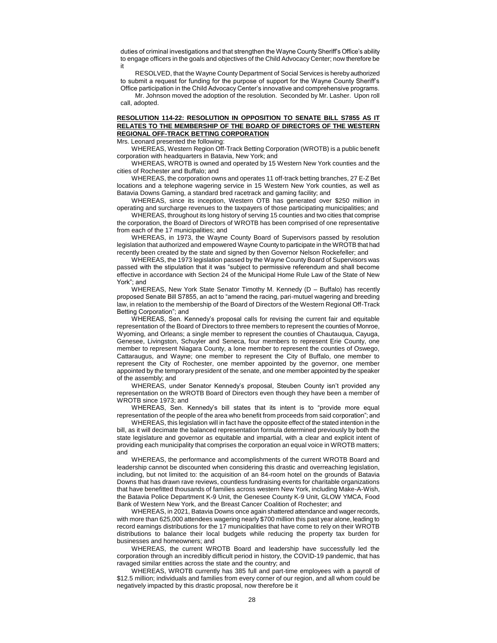duties of criminal investigations and that strengthen the Wayne County Sheriff's Office's ability to engage officers in the goals and objectives of the Child Advocacy Center; now therefore be it

RESOLVED, that the Wayne County Department of Social Services is hereby authorized to submit a request for funding for the purpose of support for the Wayne County Sheriff's Office participation in the Child Advocacy Center's innovative and comprehensive programs.

Mr. Johnson moved the adoption of the resolution. Seconded by Mr. Lasher. Upon roll call, adopted.

### **RESOLUTION 114-22: RESOLUTION IN OPPOSITION TO SENATE BILL S7855 AS IT RELATES TO THE MEMBERSHIP OF THE BOARD OF DIRECTORS OF THE WESTERN REGIONAL OFF-TRACK BETTING CORPORATION**

Mrs. Leonard presented the following:

WHEREAS, Western Region Off-Track Betting Corporation (WROTB) is a public benefit corporation with headquarters in Batavia, New York; and

WHEREAS, WROTB is owned and operated by 15 Western New York counties and the cities of Rochester and Buffalo; and

WHEREAS, the corporation owns and operates 11 off-track betting branches, 27 E-Z Bet locations and a telephone wagering service in 15 Western New York counties, as well as Batavia Downs Gaming, a standard bred racetrack and gaming facility; and

WHEREAS, since its inception, Western OTB has generated over \$250 million in operating and surcharge revenues to the taxpayers of those participating municipalities; and

WHEREAS, throughout its long history of serving 15 counties and two cities that comprise the corporation, the Board of Directors of WROTB has been comprised of one representative from each of the 17 municipalities; and

WHEREAS, in 1973, the Wayne County Board of Supervisors passed by resolution legislation that authorized and empowered Wayne County to participate in the WROTB that had recently been created by the state and signed by then Governor Nelson Rockefeller; and

WHEREAS, the 1973 legislation passed by the Wayne County Board of Supervisors was passed with the stipulation that it was "subject to permissive referendum and shall become effective in accordance with Section 24 of the Municipal Home Rule Law of the State of New York"; and

WHEREAS, New York State Senator Timothy M. Kennedy (D – Buffalo) has recently proposed Senate Bill S7855, an act to "amend the racing, pari-mutuel wagering and breeding law, in relation to the membership of the Board of Directors of the Western Regional Off-Track Betting Corporation"; and

WHEREAS, Sen. Kennedy's proposal calls for revising the current fair and equitable representation of the Board of Directors to three members to represent the counties of Monroe, Wyoming, and Orleans; a single member to represent the counties of Chautauqua, Cayuga, Genesee, Livingston, Schuyler and Seneca, four members to represent Erie County, one member to represent Niagara County, a lone member to represent the counties of Oswego, Cattaraugus, and Wayne; one member to represent the City of Buffalo, one member to represent the City of Rochester, one member appointed by the governor, one member appointed by the temporary president of the senate, and one member appointed by the speaker of the assembly; and

WHEREAS, under Senator Kennedy's proposal, Steuben County isn't provided any representation on the WROTB Board of Directors even though they have been a member of WROTB since 1973; and

WHEREAS, Sen. Kennedy's bill states that its intent is to "provide more equal representation of the people of the area who benefit from proceeds from said corporation"; and

WHEREAS, this legislation will in fact have the opposite effect of the stated intention in the bill, as it will decimate the balanced representation formula determined previously by both the state legislature and governor as equitable and impartial, with a clear and explicit intent of providing each municipality that comprises the corporation an equal voice in WROTB matters; and

WHEREAS, the performance and accomplishments of the current WROTB Board and leadership cannot be discounted when considering this drastic and overreaching legislation, including, but not limited to: the acquisition of an 84-room hotel on the grounds of Batavia Downs that has drawn rave reviews, countless fundraising events for charitable organizations that have benefitted thousands of families across western New York, including Make-A-Wish, the Batavia Police Department K-9 Unit, the Genesee County K-9 Unit, GLOW YMCA, Food Bank of Western New York, and the Breast Cancer Coalition of Rochester; and

WHEREAS, in 2021, Batavia Downs once again shattered attendance and wager records, with more than 625,000 attendees wagering nearly \$700 million this past year alone, leading to record earnings distributions for the 17 municipalities that have come to rely on their WROTB distributions to balance their local budgets while reducing the property tax burden for businesses and homeowners; and

WHEREAS, the current WROTB Board and leadership have successfully led the corporation through an incredibly difficult period in history, the COVID-19 pandemic, that has ravaged similar entities across the state and the country; and

WHEREAS, WROTB currently has 385 full and part-time employees with a payroll of \$12.5 million; individuals and families from every corner of our region, and all whom could be negatively impacted by this drastic proposal, now therefore be it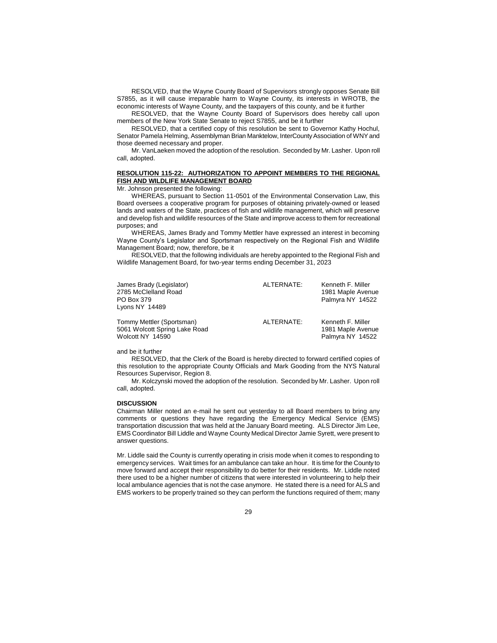RESOLVED, that the Wayne County Board of Supervisors strongly opposes Senate Bill S7855, as it will cause irreparable harm to Wayne County, its interests in WROTB, the economic interests of Wayne County, and the taxpayers of this county, and be it further

RESOLVED, that the Wayne County Board of Supervisors does hereby call upon members of the New York State Senate to reject S7855, and be it further

RESOLVED, that a certified copy of this resolution be sent to Governor Kathy Hochul, Senator Pamela Helming, Assemblyman Brian Manktelow, InterCounty Association of WNY and those deemed necessary and proper.

Mr. VanLaeken moved the adoption of the resolution. Seconded by Mr. Lasher. Upon roll call, adopted.

### **RESOLUTION 115-22: AUTHORIZATION TO APPOINT MEMBERS TO THE REGIONAL FISH AND WILDLIFE MANAGEMENT BOARD**

Mr. Johnson presented the following:

WHEREAS, pursuant to Section 11-0501 of the Environmental Conservation Law, this Board oversees a cooperative program for purposes of obtaining privately-owned or leased lands and waters of the State, practices of fish and wildlife management, which will preserve and develop fish and wildlife resources of the State and improve access to them for recreational purposes; and

WHEREAS, James Brady and Tommy Mettler have expressed an interest in becoming Wayne County's Legislator and Sportsman respectively on the Regional Fish and Wildlife Management Board; now, therefore, be it

RESOLVED, that the following individuals are hereby appointed to the Regional Fish and Wildlife Management Board, for two-year terms ending December 31, 2023

| James Brady (Legislator)<br>2785 McClelland Road<br>PO Box 379<br>Lyons $NY$ 14489 | ALTERNATE: | Kenneth F. Miller<br>1981 Maple Avenue<br>Palmyra NY 14522 |
|------------------------------------------------------------------------------------|------------|------------------------------------------------------------|
| Tommy Mettler (Sportsman)<br>5061 Wolcott Spring Lake Road<br>Wolcott NY 14590     | ALTERNATE: | Kenneth F. Miller<br>1981 Maple Avenue<br>Palmyra NY 14522 |

### and be it further

RESOLVED, that the Clerk of the Board is hereby directed to forward certified copies of this resolution to the appropriate County Officials and Mark Gooding from the NYS Natural Resources Supervisor, Region 8.

Mr. Kolczynski moved the adoption of the resolution. Seconded by Mr. Lasher. Upon roll call, adopted.

#### **DISCUSSION**

Chairman Miller noted an e-mail he sent out yesterday to all Board members to bring any comments or questions they have regarding the Emergency Medical Service (EMS) transportation discussion that was held at the January Board meeting. ALS Director Jim Lee, EMS Coordinator Bill Liddle and Wayne County Medical Director Jamie Syrett, were present to answer questions.

Mr. Liddle said the County is currently operating in crisis mode when it comes to responding to emergency services. Wait times for an ambulance can take an hour. It is time for the County to move forward and accept their responsibility to do better for their residents. Mr. Liddle noted there used to be a higher number of citizens that were interested in volunteering to help their local ambulance agencies that is not the case anymore. He stated there is a need for ALS and EMS workers to be properly trained so they can perform the functions required of them; many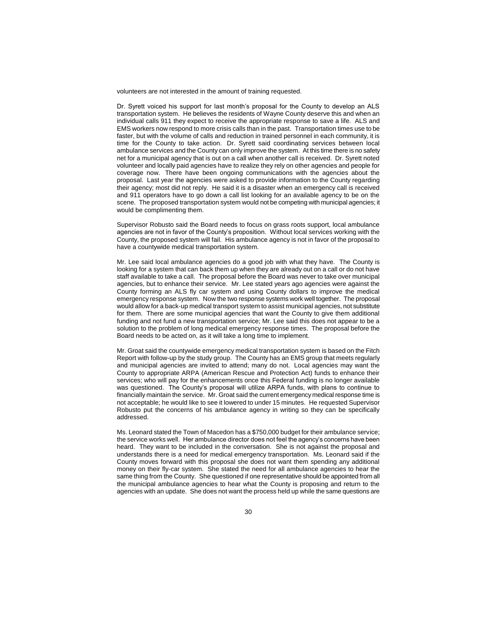volunteers are not interested in the amount of training requested.

Dr. Syrett voiced his support for last month's proposal for the County to develop an ALS transportation system. He believes the residents of Wayne County deserve this and when an individual calls 911 they expect to receive the appropriate response to save a life. ALS and EMS workers now respond to more crisis calls than in the past. Transportation times use to be faster, but with the volume of calls and reduction in trained personnel in each community, it is time for the County to take action. Dr. Syrett said coordinating services between local ambulance services and the County can only improve the system. At this time there is no safety net for a municipal agency that is out on a call when another call is received. Dr. Syrett noted volunteer and locally paid agencies have to realize they rely on other agencies and people for coverage now. There have been ongoing communications with the agencies about the proposal. Last year the agencies were asked to provide information to the County regarding their agency; most did not reply. He said it is a disaster when an emergency call is received and 911 operators have to go down a call list looking for an available agency to be on the scene. The proposed transportation system would not be competing with municipal agencies; it would be complimenting them.

Supervisor Robusto said the Board needs to focus on grass roots support, local ambulance agencies are not in favor of the County's proposition. Without local services working with the County, the proposed system will fail. His ambulance agency is not in favor of the proposal to have a countywide medical transportation system.

Mr. Lee said local ambulance agencies do a good job with what they have. The County is looking for a system that can back them up when they are already out on a call or do not have staff available to take a call. The proposal before the Board was never to take over municipal agencies, but to enhance their service. Mr. Lee stated years ago agencies were against the County forming an ALS fly car system and using County dollars to improve the medical emergency response system. Now the two response systems work well together. The proposal would allow for a back-up medical transport system to assist municipal agencies, not substitute for them. There are some municipal agencies that want the County to give them additional funding and not fund a new transportation service; Mr. Lee said this does not appear to be a solution to the problem of long medical emergency response times. The proposal before the Board needs to be acted on, as it will take a long time to implement.

Mr. Groat said the countywide emergency medical transportation system is based on the Fitch Report with follow-up by the study group. The County has an EMS group that meets regularly and municipal agencies are invited to attend; many do not. Local agencies may want the County to appropriate ARPA (American Rescue and Protection Act) funds to enhance their services; who will pay for the enhancements once this Federal funding is no longer available was questioned. The County's proposal will utilize ARPA funds, with plans to continue to financially maintain the service. Mr. Groat said the current emergency medical response time is not acceptable; he would like to see it lowered to under 15 minutes. He requested Supervisor Robusto put the concerns of his ambulance agency in writing so they can be specifically addressed.

Ms. Leonard stated the Town of Macedon has a \$750,000 budget for their ambulance service; the service works well. Her ambulance director does not feel the agency's concerns have been heard. They want to be included in the conversation. She is not against the proposal and understands there is a need for medical emergency transportation. Ms. Leonard said if the County moves forward with this proposal she does not want them spending any additional money on their fly-car system. She stated the need for all ambulance agencies to hear the same thing from the County. She questioned if one representative should be appointed from all the municipal ambulance agencies to hear what the County is proposing and return to the agencies with an update. She does not want the process held up while the same questions are